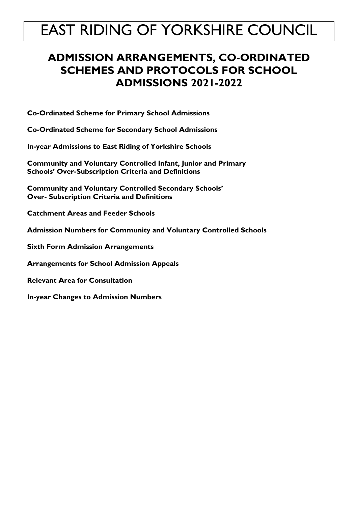# **ADMISSION ARRANGEMENTS, CO-ORDINATED SCHEMES AND PROTOCOLS FOR SCHOOL ADMISSIONS 2021-2022**

**Co-Ordinated Scheme for Primary School Admissions** 

**Co-Ordinated Scheme for Secondary School Admissions**

**In-year Admissions to East Riding of Yorkshire Schools**

**Community and Voluntary Controlled Infant, Junior and Primary Schools' Over-Subscription Criteria and Definitions**

**Community and Voluntary Controlled Secondary Schools' Over- Subscription Criteria and Definitions** 

**Catchment Areas and Feeder Schools**

**Admission Numbers for Community and Voluntary Controlled Schools** 

**Sixth Form Admission Arrangements**

**Arrangements for School Admission Appeals**

**Relevant Area for Consultation**

**In-year Changes to Admission Numbers**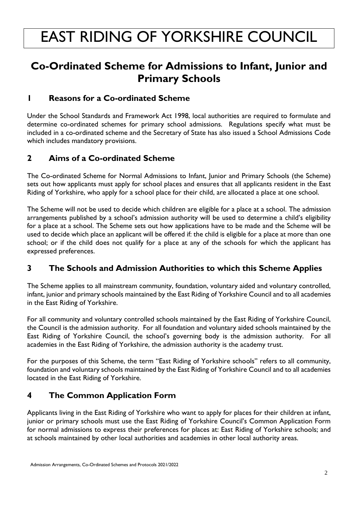# **Co-Ordinated Scheme for Admissions to Infant, Junior and Primary Schools**

## **1 Reasons for a Co-ordinated Scheme**

Under the School Standards and Framework Act 1998, local authorities are required to formulate and determine co-ordinated schemes for primary school admissions. Regulations specify what must be included in a co-ordinated scheme and the Secretary of State has also issued a School Admissions Code which includes mandatory provisions.

# **2 Aims of a Co-ordinated Scheme**

The Co-ordinated Scheme for Normal Admissions to Infant, Junior and Primary Schools (the Scheme) sets out how applicants must apply for school places and ensures that all applicants resident in the East Riding of Yorkshire, who apply for a school place for their child, are allocated a place at one school.

The Scheme will not be used to decide which children are eligible for a place at a school. The admission arrangements published by a school's admission authority will be used to determine a child's eligibility for a place at a school. The Scheme sets out how applications have to be made and the Scheme will be used to decide which place an applicant will be offered if: the child is eligible for a place at more than one school; or if the child does not qualify for a place at any of the schools for which the applicant has expressed preferences.

# **3 The Schools and Admission Authorities to which this Scheme Applies**

The Scheme applies to all mainstream community, foundation, voluntary aided and voluntary controlled, infant, junior and primary schools maintained by the East Riding of Yorkshire Council and to all academies in the East Riding of Yorkshire.

For all community and voluntary controlled schools maintained by the East Riding of Yorkshire Council, the Council is the admission authority. For all foundation and voluntary aided schools maintained by the East Riding of Yorkshire Council, the school's governing body is the admission authority. For all academies in the East Riding of Yorkshire, the admission authority is the academy trust.

For the purposes of this Scheme, the term "East Riding of Yorkshire schools" refers to all community, foundation and voluntary schools maintained by the East Riding of Yorkshire Council and to all academies located in the East Riding of Yorkshire.

# **4 The Common Application Form**

Applicants living in the East Riding of Yorkshire who want to apply for places for their children at infant, junior or primary schools must use the East Riding of Yorkshire Council's Common Application Form for normal admissions to express their preferences for places at: East Riding of Yorkshire schools; and at schools maintained by other local authorities and academies in other local authority areas.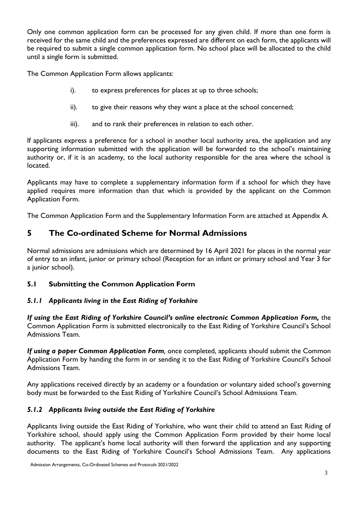Only one common application form can be processed for any given child. If more than one form is received for the same child and the preferences expressed are different on each form, the applicants will be required to submit a single common application form. No school place will be allocated to the child until a single form is submitted.

The Common Application Form allows applicants:

- i). to express preferences for places at up to three schools;
- ii). to give their reasons why they want a place at the school concerned;
- iii). and to rank their preferences in relation to each other.

If applicants express a preference for a school in another local authority area, the application and any supporting information submitted with the application will be forwarded to the school's maintaining authority or, if it is an academy, to the local authority responsible for the area where the school is located.

Applicants may have to complete a supplementary information form if a school for which they have applied requires more information than that which is provided by the applicant on the Common Application Form.

The Common Application Form and the Supplementary Information Form are attached at Appendix A.

# **5 The Co-ordinated Scheme for Normal Admissions**

Normal admissions are admissions which are determined by 16 April 2021 for places in the normal year of entry to an infant, junior or primary school (Reception for an infant or primary school and Year 3 for a junior school).

# **5.1 Submitting the Common Application Form**

### *5.1.1 Applicants living in the East Riding of Yorkshire*

*If using the East Riding of Yorkshire Council's online electronic Common Application Form, the* Common Application Form is submitted electronically to the East Riding of Yorkshire Council's School Admissions Team.

*If using a paper Common Application Form,* once completed, applicants should submit the Common Application Form by handing the form in or sending it to the East Riding of Yorkshire Council's School Admissions Team.

Any applications received directly by an academy or a foundation or voluntary aided school's governing body must be forwarded to the East Riding of Yorkshire Council's School Admissions Team.

### *5.1.2 Applicants living outside the East Riding of Yorkshire*

Applicants living outside the East Riding of Yorkshire, who want their child to attend an East Riding of Yorkshire school, should apply using the Common Application Form provided by their home local authority. The applicant's home local authority will then forward the application and any supporting documents to the East Riding of Yorkshire Council's School Admissions Team. Any applications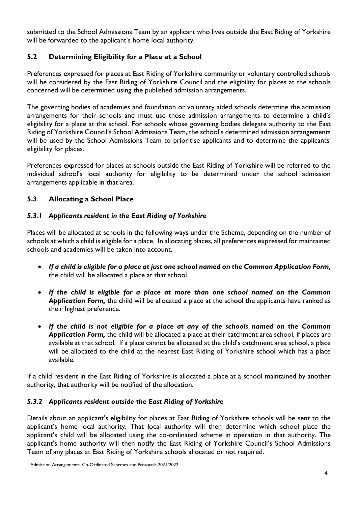submitted to the School Admissions Team by an applicant who lives outside the East Riding of Yorkshire will be forwarded to the applicant's home local authority.

#### **5.2 Determining Eligibility for a Place at a School**

Preferences expressed for places at East Riding of Yorkshire community or voluntary controlled schools will be considered by the East Riding of Yorkshire Council and the eligibility for places at the schools concerned will be determined using the published admission arrangements.

The governing bodies of academies and foundation or voluntary aided schools determine the admission arrangements for their schools and must use those admission arrangements to determine a child's eligibility for a place at the school. For schools whose governing bodies delegate authority to the East Riding of Yorkshire Council's School Admissions Team, the school's determined admission arrangements will be used by the School Admissions Team to prioritise applicants and to determine the applicants' eligibility for places.

Preferences expressed for places at schools outside the East Riding of Yorkshire will be referred to the individual school's local authority for eligibility to be determined under the school admission arrangements applicable in that area.

#### **5.3 Allocating a School Place**

#### *5.3.1 Applicants resident in the East Riding of Yorkshire*

Places will be allocated at schools in the following ways under the Scheme, depending on the number of schools at which a child is eligible for a place. In allocating places, all preferences expressed for maintained schools and academies will be taken into account.

- *If a child is eligible for a place at just one school named on the Common Application Form,*  the child will be allocated a place at that school.
- *If the child is eligible for a place at more than one school named on the Common Application Form,* the child will be allocated a place at the school the applicants have ranked as their highest preference.
- *If the child is not eligible for a place at any of the schools named on the Common Application Form,* the child will be allocated a place at their catchment area school, if places are available at that school. If a place cannot be allocated at the child's catchment area school, a place will be allocated to the child at the nearest East Riding of Yorkshire school which has a place available.

If a child resident in the East Riding of Yorkshire is allocated a place at a school maintained by another authority, that authority will be notified of the allocation.

#### *5.3.2 Applicants resident outside the East Riding of Yorkshire*

Details about an applicant's eligibility for places at East Riding of Yorkshire schools will be sent to the applicant's home local authority. That local authority will then determine which school place the applicant's child will be allocated using the co-ordinated scheme in operation in that authority. The applicant's home authority will then notify the East Riding of Yorkshire Council's School Admissions Team of any places at East Riding of Yorkshire schools allocated or not required.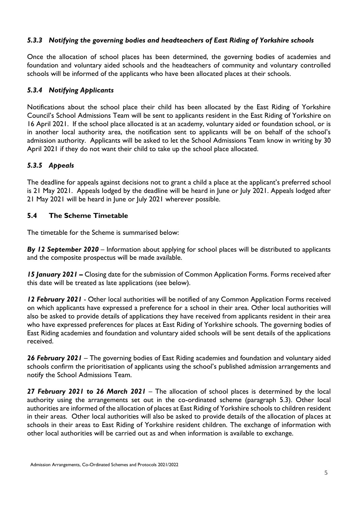#### *5.3.3 Notifying the governing bodies and headteachers of East Riding of Yorkshire schools*

Once the allocation of school places has been determined, the governing bodies of academies and foundation and voluntary aided schools and the headteachers of community and voluntary controlled schools will be informed of the applicants who have been allocated places at their schools.

#### *5.3.4 Notifying Applicants*

Notifications about the school place their child has been allocated by the East Riding of Yorkshire Council's School Admissions Team will be sent to applicants resident in the East Riding of Yorkshire on 16 April 2021. If the school place allocated is at an academy, voluntary aided or foundation school, or is in another local authority area, the notification sent to applicants will be on behalf of the school's admission authority. Applicants will be asked to let the School Admissions Team know in writing by 30 April 2021 if they do not want their child to take up the school place allocated.

#### *5.3.5 Appeals*

The deadline for appeals against decisions not to grant a child a place at the applicant's preferred school is 21 May 2021. Appeals lodged by the deadline will be heard in June or July 2021. Appeals lodged after 21 May 2021 will be heard in June or July 2021 wherever possible.

#### **5.4 The Scheme Timetable**

The timetable for the Scheme is summarised below:

*By 12 September 2020* – Information about applying for school places will be distributed to applicants and the composite prospectus will be made available.

*15 January 2021 –* Closing date for the submission of Common Application Forms. Forms received after this date will be treated as late applications (see below).

*12 February 2021* - Other local authorities will be notified of any Common Application Forms received on which applicants have expressed a preference for a school in their area. Other local authorities will also be asked to provide details of applications they have received from applicants resident in their area who have expressed preferences for places at East Riding of Yorkshire schools. The governing bodies of East Riding academies and foundation and voluntary aided schools will be sent details of the applications received.

*26 February 2021* – The governing bodies of East Riding academies and foundation and voluntary aided schools confirm the prioritisation of applicants using the school's published admission arrangements and notify the School Admissions Team.

*27 February 2021 to 26 March 2021* – The allocation of school places is determined by the local authority using the arrangements set out in the co-ordinated scheme (paragraph 5.3). Other local authorities are informed of the allocation of places at East Riding of Yorkshire schools to children resident in their areas. Other local authorities will also be asked to provide details of the allocation of places at schools in their areas to East Riding of Yorkshire resident children. The exchange of information with other local authorities will be carried out as and when information is available to exchange.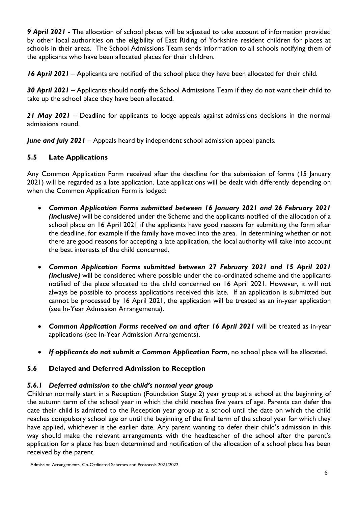*9 April 2021* - The allocation of school places will be adjusted to take account of information provided by other local authorities on the eligibility of East Riding of Yorkshire resident children for places at schools in their areas. The School Admissions Team sends information to all schools notifying them of the applicants who have been allocated places for their children.

*16 April 2021* – Applicants are notified of the school place they have been allocated for their child.

*30 April 2021* – Applicants should notify the School Admissions Team if they do not want their child to take up the school place they have been allocated.

*21 May 2021* – Deadline for applicants to lodge appeals against admissions decisions in the normal admissions round.

*June and July 2021* – Appeals heard by independent school admission appeal panels.

#### **5.5 Late Applications**

Any Common Application Form received after the deadline for the submission of forms (15 January 2021) will be regarded as a late application. Late applications will be dealt with differently depending on when the Common Application Form is lodged:

- *Common Application Forms submitted between 16 January 2021 and 26 February 2021 (inclusive)* will be considered under the Scheme and the applicants notified of the allocation of a school place on 16 April 2021 if the applicants have good reasons for submitting the form after the deadline, for example if the family have moved into the area. In determining whether or not there are good reasons for accepting a late application, the local authority will take into account the best interests of the child concerned.
- *Common Application Forms submitted between 27 February 2021 and 15 April 2021 (inclusive)* will be considered where possible under the co-ordinated scheme and the applicants notified of the place allocated to the child concerned on 16 April 2021. However, it will not always be possible to process applications received this late. If an application is submitted but cannot be processed by 16 April 2021, the application will be treated as an in-year application (see In-Year Admission Arrangements).
- *Common Application Forms received on and after 16 April 2021* will be treated as in-year applications (see In-Year Admission Arrangements).
- *If applicants do not submit a Common Application Form*, no school place will be allocated.

#### **5.6 Delayed and Deferred Admission to Reception**

#### *5.6.1 Deferred admission to the child's normal year group*

Children normally start in a Reception (Foundation Stage 2) year group at a school at the beginning of the autumn term of the school year in which the child reaches five years of age. Parents can defer the date their child is admitted to the Reception year group at a school until the date on which the child reaches compulsory school age or until the beginning of the final term of the school year for which they have applied, whichever is the earlier date. Any parent wanting to defer their child's admission in this way should make the relevant arrangements with the headteacher of the school after the parent's application for a place has been determined and notification of the allocation of a school place has been received by the parent.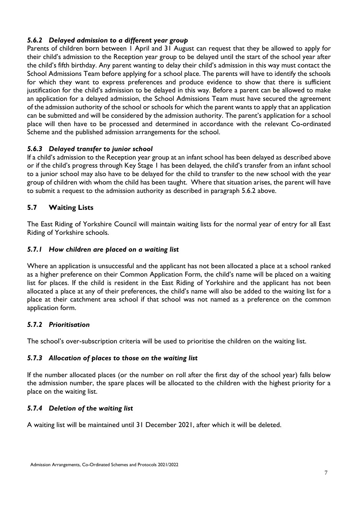#### *5.6.2 Delayed admission to a different year group*

Parents of children born between 1 April and 31 August can request that they be allowed to apply for their child's admission to the Reception year group to be delayed until the start of the school year after the child's fifth birthday. Any parent wanting to delay their child's admission in this way must contact the School Admissions Team before applying for a school place. The parents will have to identify the schools for which they want to express preferences and produce evidence to show that there is sufficient justification for the child's admission to be delayed in this way. Before a parent can be allowed to make an application for a delayed admission, the School Admissions Team must have secured the agreement of the admission authority of the school or schools for which the parent wants to apply that an application can be submitted and will be considered by the admission authority. The parent's application for a school place will then have to be processed and determined in accordance with the relevant Co-ordinated Scheme and the published admission arrangements for the school.

#### *5.6.3 Delayed transfer to junior school*

If a child's admission to the Reception year group at an infant school has been delayed as described above or if the child's progress through Key Stage 1 has been delayed, the child's transfer from an infant school to a junior school may also have to be delayed for the child to transfer to the new school with the year group of children with whom the child has been taught. Where that situation arises, the parent will have to submit a request to the admission authority as described in paragraph 5.6.2 above.

#### **5.7 Waiting Lists**

The East Riding of Yorkshire Council will maintain waiting lists for the normal year of entry for all East Riding of Yorkshire schools.

#### *5.7.1 How children are placed on a waiting list*

Where an application is unsuccessful and the applicant has not been allocated a place at a school ranked as a higher preference on their Common Application Form, the child's name will be placed on a waiting list for places. If the child is resident in the East Riding of Yorkshire and the applicant has not been allocated a place at any of their preferences, the child's name will also be added to the waiting list for a place at their catchment area school if that school was not named as a preference on the common application form.

#### *5.7.2 Prioritisation*

The school's over-subscription criteria will be used to prioritise the children on the waiting list.

#### *5.7.3 Allocation of places to those on the waiting list*

If the number allocated places (or the number on roll after the first day of the school year) falls below the admission number, the spare places will be allocated to the children with the highest priority for a place on the waiting list.

#### *5.7.4 Deletion of the waiting list*

A waiting list will be maintained until 31 December 2021, after which it will be deleted.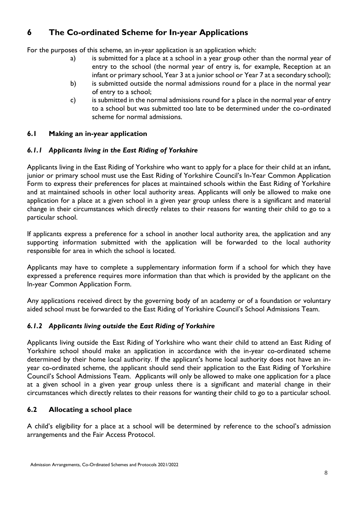# **6 The Co-ordinated Scheme for In-year Applications**

For the purposes of this scheme, an in-year application is an application which:

- a) is submitted for a place at a school in a year group other than the normal year of entry to the school (the normal year of entry is, for example, Reception at an infant or primary school, Year 3 at a junior school or Year 7 at a secondary school);
- b) is submitted outside the normal admissions round for a place in the normal year of entry to a school;
- c) is submitted in the normal admissions round for a place in the normal year of entry to a school but was submitted too late to be determined under the co-ordinated scheme for normal admissions.

#### **6.1 Making an in-year application**

#### *6.1.1 Applicants living in the East Riding of Yorkshire*

Applicants living in the East Riding of Yorkshire who want to apply for a place for their child at an infant, junior or primary school must use the East Riding of Yorkshire Council's In-Year Common Application Form to express their preferences for places at maintained schools within the East Riding of Yorkshire and at maintained schools in other local authority areas. Applicants will only be allowed to make one application for a place at a given school in a given year group unless there is a significant and material change in their circumstances which directly relates to their reasons for wanting their child to go to a particular school.

If applicants express a preference for a school in another local authority area, the application and any supporting information submitted with the application will be forwarded to the local authority responsible for area in which the school is located.

Applicants may have to complete a supplementary information form if a school for which they have expressed a preference requires more information than that which is provided by the applicant on the In-year Common Application Form.

Any applications received direct by the governing body of an academy or of a foundation or voluntary aided school must be forwarded to the East Riding of Yorkshire Council's School Admissions Team.

#### *6.1.2 Applicants living outside the East Riding of Yorkshire*

Applicants living outside the East Riding of Yorkshire who want their child to attend an East Riding of Yorkshire school should make an application in accordance with the in-year co-ordinated scheme determined by their home local authority. If the applicant's home local authority does not have an inyear co-ordinated scheme, the applicant should send their application to the East Riding of Yorkshire Council's School Admissions Team. Applicants will only be allowed to make one application for a place at a given school in a given year group unless there is a significant and material change in their circumstances which directly relates to their reasons for wanting their child to go to a particular school.

#### **6.2 Allocating a school place**

A child's eligibility for a place at a school will be determined by reference to the school's admission arrangements and the Fair Access Protocol.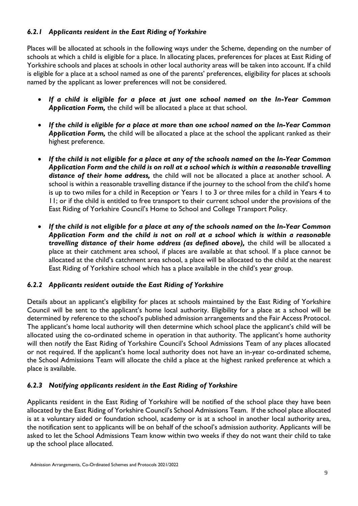#### *6.2.1 Applicants resident in the East Riding of Yorkshire*

Places will be allocated at schools in the following ways under the Scheme, depending on the number of schools at which a child is eligible for a place. In allocating places, preferences for places at East Riding of Yorkshire schools and places at schools in other local authority areas will be taken into account. If a child is eligible for a place at a school named as one of the parents' preferences, eligibility for places at schools named by the applicant as lower preferences will not be considered.

- *If a child is eligible for a place at just one school named on the In-Year Common Application Form,* the child will be allocated a place at that school.
- *If the child is eligible for a place at more than one school named on the In-Year Common Application Form,* the child will be allocated a place at the school the applicant ranked as their highest preference.
- *If the child is not eligible for a place at any of the schools named on the In-Year Common Application Form and the child is on roll at a school which is within a reasonable travelling distance of their home address,* the child will not be allocated a place at another school. A school is within a reasonable travelling distance if the journey to the school from the child's home is up to two miles for a child in Reception or Years 1 to 3 or three miles for a child in Years 4 to 11; or if the child is entitled to free transport to their current school under the provisions of the East Riding of Yorkshire Council's Home to School and College Transport Policy.
- *If the child is not eligible for a place at any of the schools named on the In-Year Common Application Form and the child is not on roll at a school which is within a reasonable*  travelling distance of their home address (as defined above), the child will be allocated a place at their catchment area school, if places are available at that school. If a place cannot be allocated at the child's catchment area school, a place will be allocated to the child at the nearest East Riding of Yorkshire school which has a place available in the child's year group.

#### *6.2.2 Applicants resident outside the East Riding of Yorkshire*

Details about an applicant's eligibility for places at schools maintained by the East Riding of Yorkshire Council will be sent to the applicant's home local authority. Eligibility for a place at a school will be determined by reference to the school's published admission arrangements and the Fair Access Protocol. The applicant's home local authority will then determine which school place the applicant's child will be allocated using the co-ordinated scheme in operation in that authority. The applicant's home authority will then notify the East Riding of Yorkshire Council's School Admissions Team of any places allocated or not required. If the applicant's home local authority does not have an in-year co-ordinated scheme, the School Admissions Team will allocate the child a place at the highest ranked preference at which a place is available.

#### *6.2.3 Notifying applicants resident in the East Riding of Yorkshire*

Applicants resident in the East Riding of Yorkshire will be notified of the school place they have been allocated by the East Riding of Yorkshire Council's School Admissions Team. If the school place allocated is at a voluntary aided or foundation school, academy or is at a school in another local authority area, the notification sent to applicants will be on behalf of the school's admission authority. Applicants will be asked to let the School Admissions Team know within two weeks if they do not want their child to take up the school place allocated.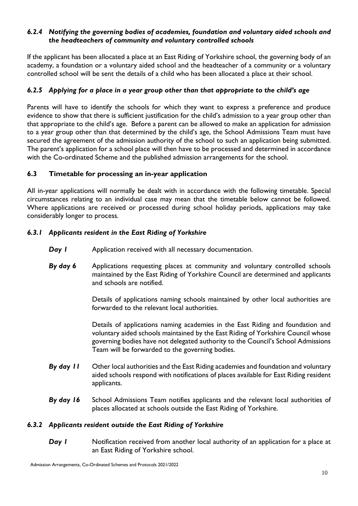#### *6.2.4 Notifying the governing bodies of academies, foundation and voluntary aided schools and the headteachers of community and voluntary controlled schools*

If the applicant has been allocated a place at an East Riding of Yorkshire school, the governing body of an academy, a foundation or a voluntary aided school and the headteacher of a community or a voluntary controlled school will be sent the details of a child who has been allocated a place at their school.

#### *6.2.5 Applying for a place in a year group other than that appropriate to the child's age*

Parents will have to identify the schools for which they want to express a preference and produce evidence to show that there is sufficient justification for the child's admission to a year group other than that appropriate to the child's age. Before a parent can be allowed to make an application for admission to a year group other than that determined by the child's age, the School Admissions Team must have secured the agreement of the admission authority of the school to such an application being submitted. The parent's application for a school place will then have to be processed and determined in accordance with the Co-ordinated Scheme and the published admission arrangements for the school.

#### **6.3 Timetable for processing an in-year application**

All in-year applications will normally be dealt with in accordance with the following timetable. Special circumstances relating to an individual case may mean that the timetable below cannot be followed. Where applications are received or processed during school holiday periods, applications may take considerably longer to process.

#### *6.3.1 Applicants resident in the East Riding of Yorkshire*

- **Day I** Application received with all necessary documentation.
- **By day 6** Applications requesting places at community and voluntary controlled schools maintained by the East Riding of Yorkshire Council are determined and applicants and schools are notified.

Details of applications naming schools maintained by other local authorities are forwarded to the relevant local authorities.

Details of applications naming academies in the East Riding and foundation and voluntary aided schools maintained by the East Riding of Yorkshire Council whose governing bodies have not delegated authority to the Council's School Admissions Team will be forwarded to the governing bodies.

- *By day 11* Other local authorities and the East Riding academies and foundation and voluntary aided schools respond with notifications of places available for East Riding resident applicants.
- *By day 16* School Admissions Team notifies applicants and the relevant local authorities of places allocated at schools outside the East Riding of Yorkshire.

#### *6.3.2 Applicants resident outside the East Riding of Yorkshire*

**Day I** Notification received from another local authority of an application for a place at an East Riding of Yorkshire school.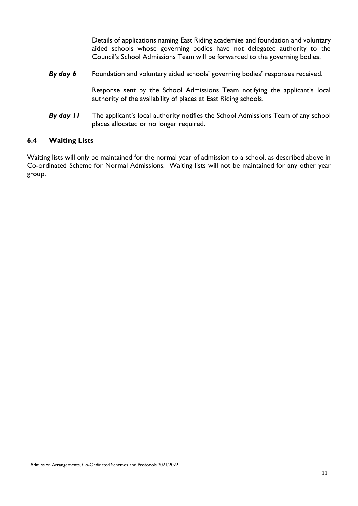Details of applications naming East Riding academies and foundation and voluntary aided schools whose governing bodies have not delegated authority to the Council's School Admissions Team will be forwarded to the governing bodies.

*By day 6* Foundation and voluntary aided schools' governing bodies' responses received.

Response sent by the School Admissions Team notifying the applicant's local authority of the availability of places at East Riding schools.

*By day 11* The applicant's local authority notifies the School Admissions Team of any school places allocated or no longer required.

#### **6.4 Waiting Lists**

Waiting lists will only be maintained for the normal year of admission to a school, as described above in Co-ordinated Scheme for Normal Admissions. Waiting lists will not be maintained for any other year group.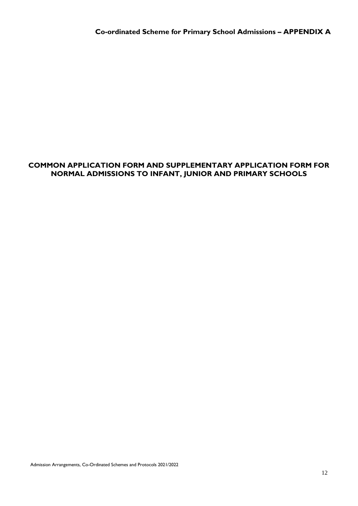#### **COMMON APPLICATION FORM AND SUPPLEMENTARY APPLICATION FORM FOR NORMAL ADMISSIONS TO INFANT, JUNIOR AND PRIMARY SCHOOLS**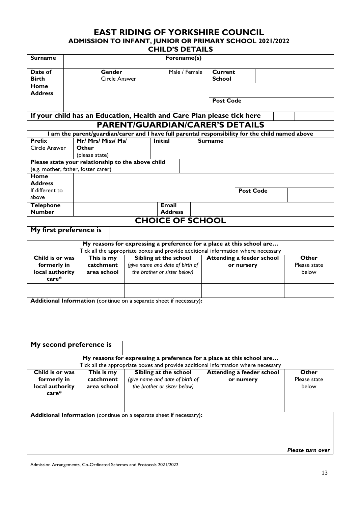# **EAST RIDING OF YORKSHIRE COUNCIL ADMISSION TO INFANT, JUNIOR OR PRIMARY SCHOOL 2021/2022**

|                                                                       |                    |                                | <b>CHILD'S DETAILS</b>          |               |                                 |                                                                                                  |                  |
|-----------------------------------------------------------------------|--------------------|--------------------------------|---------------------------------|---------------|---------------------------------|--------------------------------------------------------------------------------------------------|------------------|
| <b>Surname</b>                                                        |                    |                                |                                 | Forename(s)   |                                 |                                                                                                  |                  |
| Date of<br><b>Birth</b>                                               |                    | Gender<br><b>Circle Answer</b> |                                 | Male / Female | <b>Current</b><br><b>School</b> |                                                                                                  |                  |
| <b>Home</b>                                                           |                    |                                |                                 |               |                                 |                                                                                                  |                  |
| <b>Address</b>                                                        |                    |                                |                                 |               |                                 |                                                                                                  |                  |
|                                                                       |                    |                                |                                 |               | <b>Post Code</b>                |                                                                                                  |                  |
| If your child has an Education, Health and Care Plan please tick here |                    |                                |                                 |               |                                 |                                                                                                  |                  |
|                                                                       |                    |                                |                                 |               |                                 | <b>PARENT/GUARDIAN/CARER'S DETAILS</b>                                                           |                  |
|                                                                       |                    |                                |                                 |               |                                 | I am the parent/guardian/carer and I have full parental responsibility for the child named above |                  |
| <b>Prefix</b>                                                         | Mr/ Mrs/ Miss/ Ms/ |                                | <b>Initial</b>                  |               | <b>Surname</b>                  |                                                                                                  |                  |
| Circle Answer                                                         | Other              |                                |                                 |               |                                 |                                                                                                  |                  |
|                                                                       | (please state)     |                                |                                 |               |                                 |                                                                                                  |                  |
| Please state your relationship to the above child                     |                    |                                |                                 |               |                                 |                                                                                                  |                  |
| (e.g. mother, father, foster carer)                                   |                    |                                |                                 |               |                                 |                                                                                                  |                  |
| Home                                                                  |                    |                                |                                 |               |                                 |                                                                                                  |                  |
| <b>Address</b>                                                        |                    |                                |                                 |               |                                 |                                                                                                  |                  |
| If different to                                                       |                    |                                |                                 |               |                                 | <b>Post Code</b>                                                                                 |                  |
| above                                                                 |                    |                                |                                 |               |                                 |                                                                                                  |                  |
| <b>Telephone</b>                                                      |                    |                                | <b>Email</b>                    |               |                                 |                                                                                                  |                  |
| <b>Number</b>                                                         |                    |                                | <b>Address</b>                  |               |                                 |                                                                                                  |                  |
|                                                                       |                    |                                | <b>CHOICE OF SCHOOL</b>         |               |                                 |                                                                                                  |                  |
| My first preference is                                                |                    |                                |                                 |               |                                 |                                                                                                  |                  |
|                                                                       |                    |                                |                                 |               |                                 |                                                                                                  |                  |
|                                                                       |                    |                                |                                 |               |                                 | My reasons for expressing a preference for a place at this school are                            |                  |
|                                                                       |                    |                                |                                 |               |                                 | Tick all the appropriate boxes and provide additional information where necessary                |                  |
| Child is or was                                                       | This is my         |                                | Sibling at the school           |               |                                 | <b>Attending a feeder school</b>                                                                 | Other            |
| formerly in                                                           | catchment          |                                | (give name and date of birth of |               |                                 | or nursery                                                                                       | Please state     |
| local authority                                                       | area school        |                                | the brother or sister below)    |               |                                 |                                                                                                  | below            |
| $care*$                                                               |                    |                                |                                 |               |                                 |                                                                                                  |                  |
|                                                                       |                    |                                |                                 |               |                                 |                                                                                                  |                  |
|                                                                       |                    |                                |                                 |               |                                 |                                                                                                  |                  |
| Additional Information (continue on a separate sheet if necessary):   |                    |                                |                                 |               |                                 |                                                                                                  |                  |
|                                                                       |                    |                                |                                 |               |                                 |                                                                                                  |                  |
|                                                                       |                    |                                |                                 |               |                                 |                                                                                                  |                  |
|                                                                       |                    |                                |                                 |               |                                 |                                                                                                  |                  |
|                                                                       |                    |                                |                                 |               |                                 |                                                                                                  |                  |
| My second preference is                                               |                    |                                |                                 |               |                                 |                                                                                                  |                  |
|                                                                       |                    |                                |                                 |               |                                 |                                                                                                  |                  |
|                                                                       |                    |                                |                                 |               |                                 | My reasons for expressing a preference for a place at this school are                            |                  |
|                                                                       |                    |                                |                                 |               |                                 | Tick all the appropriate boxes and provide additional information where necessary                |                  |
| Child is or was                                                       | This is my         |                                | Sibling at the school           |               |                                 | <b>Attending a feeder school</b>                                                                 | Other            |
| formerly in                                                           | catchment          |                                | (give name and date of birth of |               |                                 | or nursery                                                                                       | Please state     |
| local authority                                                       | area school        |                                | the brother or sister below)    |               |                                 |                                                                                                  | below            |
| $care*$                                                               |                    |                                |                                 |               |                                 |                                                                                                  |                  |
|                                                                       |                    |                                |                                 |               |                                 |                                                                                                  |                  |
|                                                                       |                    |                                |                                 |               |                                 |                                                                                                  |                  |
| Additional Information (continue on a separate sheet if necessary):   |                    |                                |                                 |               |                                 |                                                                                                  |                  |
|                                                                       |                    |                                |                                 |               |                                 |                                                                                                  |                  |
|                                                                       |                    |                                |                                 |               |                                 |                                                                                                  |                  |
|                                                                       |                    |                                |                                 |               |                                 |                                                                                                  |                  |
|                                                                       |                    |                                |                                 |               |                                 |                                                                                                  |                  |
|                                                                       |                    |                                |                                 |               |                                 |                                                                                                  | Please turn over |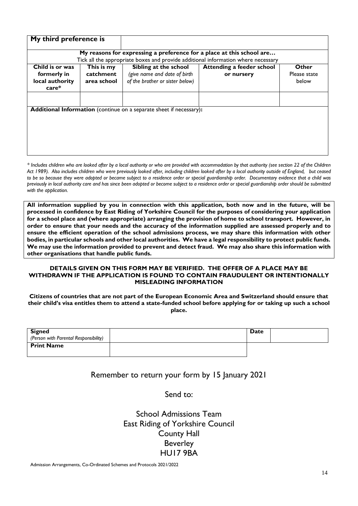| My third preference is                    |                          |                                                                            |                                                                                                                |                       |
|-------------------------------------------|--------------------------|----------------------------------------------------------------------------|----------------------------------------------------------------------------------------------------------------|-----------------------|
|                                           |                          |                                                                            | My reasons for expressing a preference for a place at this school are                                          |                       |
| Child is or was                           | This is my               | Sibling at the school                                                      | Tick all the appropriate boxes and provide additional information where necessary<br>Attending a feeder school | Other                 |
| formerly in<br>local authority<br>$care*$ | catchment<br>area school | (give name and date of birth<br>of the brother or sister below)            | or nursery                                                                                                     | Please state<br>below |
|                                           |                          |                                                                            |                                                                                                                |                       |
|                                           |                          | <b>Additional Information</b> (continue on a separate sheet if necessary): |                                                                                                                |                       |
|                                           |                          |                                                                            |                                                                                                                |                       |
|                                           |                          |                                                                            |                                                                                                                |                       |
|                                           |                          |                                                                            |                                                                                                                |                       |

*\* Includes children who are looked after by a local authority or who are provided with accommodation by that authority (see section 22 of the Children Act 1989). Also includes children who were previously looked after, including children looked after by a local authority outside of England, but ceased to be so because they were adopted or became subject to a residence order or special guardianship order. Documentary evidence that a child was previously in local authority care and has since been adopted or become subject to a residence order or special guardianship order should be submitted with the application.*

**All information supplied by you in connection with this application, both now and in the future, will be processed in confidence by East Riding of Yorkshire Council for the purposes of considering your application for a school place and (where appropriate) arranging the provision of home to school transport. However, in order to ensure that your needs and the accuracy of the information supplied are assessed properly and to ensure the efficient operation of the school admissions process, we may share this information with other bodies, in particular schools and other local authorities. We have a legal responsibility to protect public funds. We may use the information provided to prevent and detect fraud. We may also share this information with other organisations that handle public funds.**

#### **DETAILS GIVEN ON THIS FORM MAY BE VERIFIED. THE OFFER OF A PLACE MAY BE WITHDRAWN IF THE APPLICATION IS FOUND TO CONTAIN FRAUDULENT OR INTENTIONALLY MISLEADING INFORMATION**

**Citizens of countries that are not part of the European Economic Area and Switzerland should ensure that their child's visa entitles them to attend a state-funded school before applying for or taking up such a school place.**

| <b>Signed</b>                         | Date |  |
|---------------------------------------|------|--|
| (Person with Parental Responsibility) |      |  |
| <b>Print Name</b>                     |      |  |
|                                       |      |  |

#### Remember to return your form by 15 January 2021

Send to:

School Admissions Team East Riding of Yorkshire Council County Hall Beverley HU17 9BA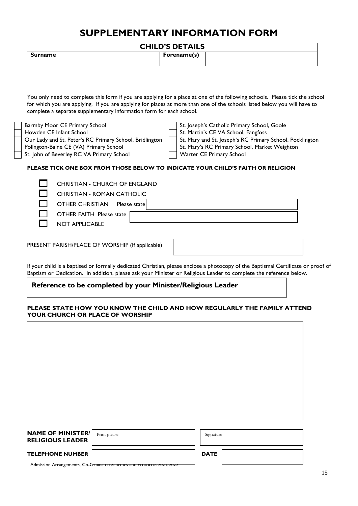# **SUPPLEMENTARY INFORMATION FORM**

|                | <b>CHILD'S DETAILS</b> |  |
|----------------|------------------------|--|
| <b>Surname</b> | Forename(s)            |  |

You only need to complete this form if you are applying for a place at one of the following schools. Please tick the school for which you are applying. If you are applying for places at more than one of the schools listed below you will have to complete a separate supplementary information form for each school.

St. John of Beverley RC VA Primary School Warter CE Primary School

Barmby Moor CE Primary School St. Joseph's Catholic Primary School, Goole

Howden CE Infant School St. Martin's CE VA School, Fangfoss

Our Lady and St. Peter's RC Primary School, Bridlington | St. Mary and St. Joseph's RC Primary School, Pocklington

Pollngton-Balne CE (VA) Primary School St. Mary's RC Primary School, Market Weighton

#### **PLEASE TICK ONE BOX FROM THOSE BELOW TO INDICATE YOUR CHILD'S FAITH OR RELIGION**

CHRISTIAN - CHURCH OF ENGLAND

CHRISTIAN - ROMAN CATHOLIC

OTHER CHRISTIAN Please state

OTHER FAITH Please state

NOT APPLICABLE

PRESENT PARISH/PLACE OF WORSHIP (If applicable)

If your child is a baptised or formally dedicated Christian, please enclose a photocopy of the Baptismal Certificate or proof of Baptism or Dedication. In addition, please ask your Minister or Religious Leader to complete the reference below.

#### **Reference to be completed by your Minister/Religious Leader**

#### **PLEASE STATE HOW YOU KNOW THE CHILD AND HOW REGULARLY THE FAMILY ATTEND YOUR CHURCH OR PLACE OF WORSHIP**

| <b>NAME OF MINISTER/</b> | Print please | Signature |
|--------------------------|--------------|-----------|
| <b>RELIGIOUS LEADER</b>  |              |           |

#### TELEPHONE NUMBER **DATE**

Admission Arrangements, Co-Oramated Schemes and Protocols 2021/2022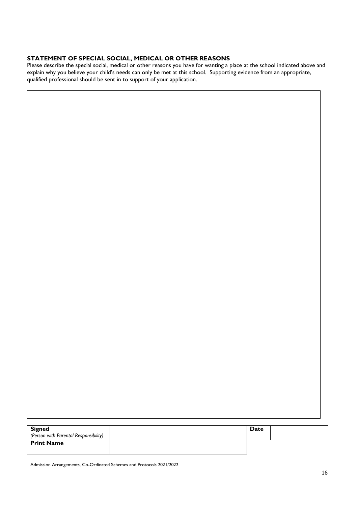#### **STATEMENT OF SPECIAL SOCIAL, MEDICAL OR OTHER REASONS**

Please describe the special social, medical or other reasons you have for wanting a place at the school indicated above and explain why you believe your child's needs can only be met at this school. Supporting evidence from an appropriate, qualified professional should be sent in to support of your application.

| <b>Signed</b><br>(Person with Parental Responsibility) | Date |  |
|--------------------------------------------------------|------|--|
| <b>Print Name</b>                                      |      |  |

Admission Arrangements, Co-Ordinated Schemes and Protocols 2021/2022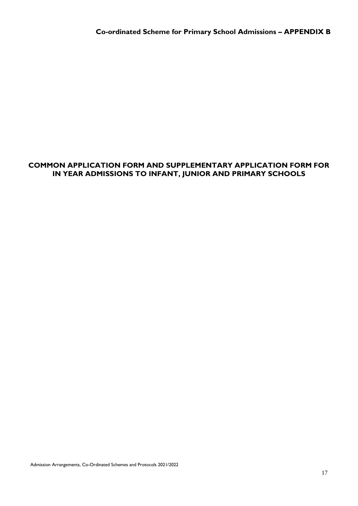#### **COMMON APPLICATION FORM AND SUPPLEMENTARY APPLICATION FORM FOR IN YEAR ADMISSIONS TO INFANT, JUNIOR AND PRIMARY SCHOOLS**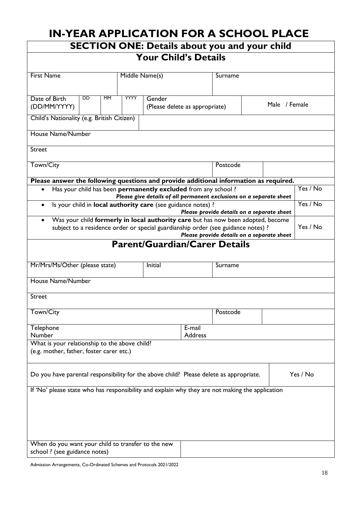| <b>IN-YEAR APPLICATION FOR A SCHOOL PLACE</b>                                                                                                                         |             |                                          |                          |                                                                     |               |          |
|-----------------------------------------------------------------------------------------------------------------------------------------------------------------------|-------------|------------------------------------------|--------------------------|---------------------------------------------------------------------|---------------|----------|
|                                                                                                                                                                       |             |                                          |                          | <b>SECTION ONE: Details about you and your child</b>                |               |          |
|                                                                                                                                                                       |             | <b>Your Child's Details</b>              |                          |                                                                     |               |          |
| <b>First Name</b>                                                                                                                                                     |             | Middle Name(s)                           |                          | Surname                                                             |               |          |
| DD<br><b>MM</b><br>Date of Birth<br>(DD/MM/YYYY)                                                                                                                      | <b>YYYY</b> | Gender<br>(Please delete as appropriate) |                          |                                                                     | Male / Female |          |
| Child's Nationality (e.g. British Citizen)                                                                                                                            |             |                                          |                          |                                                                     |               |          |
| <b>House Name/Number</b>                                                                                                                                              |             |                                          |                          |                                                                     |               |          |
| <b>Street</b>                                                                                                                                                         |             |                                          |                          |                                                                     |               |          |
| Town/City                                                                                                                                                             |             |                                          |                          | Postcode                                                            |               |          |
| Please answer the following questions and provide additional information as required.                                                                                 |             |                                          |                          |                                                                     |               |          |
| Has your child has been permanently excluded from any school?                                                                                                         |             |                                          |                          | Please give details of all permanent exclusions on a separate sheet |               | Yes / No |
| Is your child in local authority care (see guidance notes) ?<br>$\bullet$                                                                                             |             |                                          |                          |                                                                     |               | Yes / No |
|                                                                                                                                                                       |             |                                          |                          | Please provide details on a separate sheet                          |               |          |
| Was your child formerly in local authority care but has now been adopted, become<br>subject to a residence order or special guardianship order (see guidance notes) ? |             |                                          |                          |                                                                     |               | Yes / No |
|                                                                                                                                                                       |             |                                          |                          | Please provide details on a separate sheet                          |               |          |
|                                                                                                                                                                       |             |                                          |                          | <b>Parent/Guardian/Carer Details</b>                                |               |          |
| Mr/Mrs/Ms/Other (please state)                                                                                                                                        |             | Initial                                  |                          | Surname                                                             |               |          |
| House Name/Number                                                                                                                                                     |             |                                          |                          |                                                                     |               |          |
| Street                                                                                                                                                                |             |                                          |                          |                                                                     |               |          |
| Town/City                                                                                                                                                             |             |                                          |                          | Postcode                                                            |               |          |
| Telephone<br><b>Number</b>                                                                                                                                            |             |                                          | E-mail<br><b>Address</b> |                                                                     |               |          |
| What is your relationship to the above child?<br>(e.g. mother, father, foster carer etc.)                                                                             |             |                                          |                          |                                                                     |               |          |
|                                                                                                                                                                       |             |                                          |                          |                                                                     |               |          |
| Do you have parental responsibility for the above child? Please delete as appropriate.                                                                                |             |                                          |                          |                                                                     |               | Yes / No |
| If 'No' please state who has responsibility and explain why they are not making the application                                                                       |             |                                          |                          |                                                                     |               |          |
|                                                                                                                                                                       |             |                                          |                          |                                                                     |               |          |
|                                                                                                                                                                       |             |                                          |                          |                                                                     |               |          |
|                                                                                                                                                                       |             |                                          |                          |                                                                     |               |          |
|                                                                                                                                                                       |             |                                          |                          |                                                                     |               |          |
| When do you want your child to transfer to the new                                                                                                                    |             |                                          |                          |                                                                     |               |          |
| school ? (see guidance notes)                                                                                                                                         |             |                                          |                          |                                                                     |               |          |

Admission Arrangements, Co-Ordinated Schemes and Protocols 2021/2022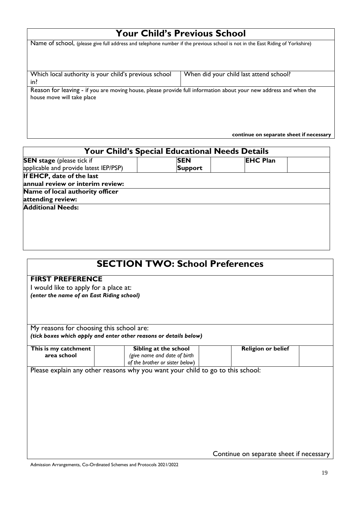# **Your Child's Previous School**

| Name of school, (please give full address and telephone number if the previous school is not in the East Riding of Yorkshire)                   |                                         |
|-------------------------------------------------------------------------------------------------------------------------------------------------|-----------------------------------------|
| Which local authority is your child's previous school<br>in?                                                                                    | When did your child last attend school? |
| Reason for leaving - if you are moving house, please provide full information about your new address and when the<br>house move will take place |                                         |
|                                                                                                                                                 | continue on separate sheet if necessary |

| <b>Your Child's Special Educational Needs Details</b> |                |                 |  |  |  |
|-------------------------------------------------------|----------------|-----------------|--|--|--|
| <b>SEN</b> stage (please tick if                      | <b>SEN</b>     | <b>EHC Plan</b> |  |  |  |
| applicable and provide latest IEP/PSP)                | <b>Support</b> |                 |  |  |  |
| If EHCP, date of the last                             |                |                 |  |  |  |
| annual review or interim review:                      |                |                 |  |  |  |
| Name of local authority officer                       |                |                 |  |  |  |
| attending review:                                     |                |                 |  |  |  |
| <b>Additional Needs:</b>                              |                |                 |  |  |  |
|                                                       |                |                 |  |  |  |
|                                                       |                |                 |  |  |  |
|                                                       |                |                 |  |  |  |
|                                                       |                |                 |  |  |  |
|                                                       |                |                 |  |  |  |

|                                           | <b>SECTION TWO: School Preferences</b>                                         |                                         |  |
|-------------------------------------------|--------------------------------------------------------------------------------|-----------------------------------------|--|
| <b>FIRST PREFERENCE</b>                   |                                                                                |                                         |  |
| I would like to apply for a place at:     |                                                                                |                                         |  |
| (enter the name of an East Riding school) |                                                                                |                                         |  |
|                                           |                                                                                |                                         |  |
|                                           |                                                                                |                                         |  |
| My reasons for choosing this school are:  |                                                                                |                                         |  |
|                                           | (tick boxes which apply and enter other reasons or details below)              |                                         |  |
| This is my catchment                      | Sibling at the school                                                          | <b>Religion or belief</b>               |  |
| area school                               | (give name and date of birth                                                   |                                         |  |
|                                           | of the brother or sister below)                                                |                                         |  |
|                                           | Please explain any other reasons why you want your child to go to this school: |                                         |  |
|                                           |                                                                                |                                         |  |
|                                           |                                                                                |                                         |  |
|                                           |                                                                                |                                         |  |
|                                           |                                                                                |                                         |  |
|                                           |                                                                                |                                         |  |
|                                           |                                                                                |                                         |  |
|                                           |                                                                                |                                         |  |
|                                           |                                                                                |                                         |  |
|                                           |                                                                                |                                         |  |
|                                           |                                                                                |                                         |  |
|                                           |                                                                                | Continue on separate sheet if necessary |  |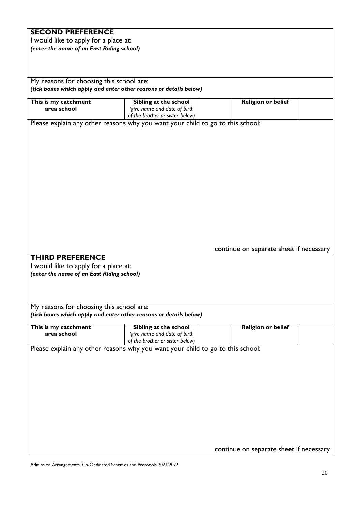# **SECOND PREFERENCE**

I would like to apply for a place at: *(enter the name of an East Riding school)*

My reasons for choosing this school are: *(tick boxes which apply and enter other reasons or details below)*

| This is my catchment<br>area school                                                                           | Sibling at the school<br>(give name and date of birth<br>of the brother or sister below)                          | <b>Religion or belief</b>               |
|---------------------------------------------------------------------------------------------------------------|-------------------------------------------------------------------------------------------------------------------|-----------------------------------------|
|                                                                                                               | Please explain any other reasons why you want your child to go to this school:                                    |                                         |
| <b>THIRD PREFERENCE</b><br>I would like to apply for a place at:<br>(enter the name of an East Riding school) |                                                                                                                   | continue on separate sheet if necessary |
|                                                                                                               |                                                                                                                   |                                         |
| My reasons for choosing this school are:                                                                      | (tick boxes which apply and enter other reasons or details below)                                                 |                                         |
|                                                                                                               | Sibling at the school                                                                                             | <b>Religion or belief</b>               |
| area school                                                                                                   | (give name and date of birth                                                                                      |                                         |
|                                                                                                               | of the brother or sister below)<br>Please explain any other reasons why you want your child to go to this school: |                                         |
| This is my catchment                                                                                          |                                                                                                                   |                                         |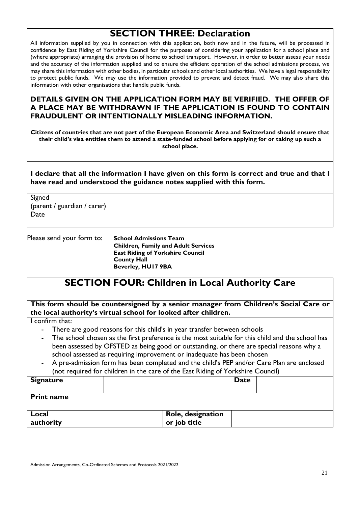# **SECTION THREE: Declaration**

All information supplied by you in connection with this application, both now and in the future, will be processed in confidence by East Riding of Yorkshire Council for the purposes of considering your application for a school place and (where appropriate) arranging the provision of home to school transport. However, in order to better assess your needs and the accuracy of the information supplied and to ensure the efficient operation of the school admissions process, we may share this information with other bodies, in particular schools and other local authorities. We have a legal responsibility to protect public funds. We may use the information provided to prevent and detect fraud. We may also share this information with other organisations that handle public funds.

#### **DETAILS GIVEN ON THE APPLICATION FORM MAY BE VERIFIED. THE OFFER OF A PLACE MAY BE WITHDRAWN IF THE APPLICATION IS FOUND TO CONTAIN FRAUDULENT OR INTENTIONALLY MISLEADING INFORMATION.**

**Citizens of countries that are not part of the European Economic Area and Switzerland should ensure that their child's visa entitles them to attend a state-funded school before applying for or taking up such a school place.**

**I declare that all the information I have given on this form is correct and true and that I have read and understood the guidance notes supplied with this form.**

Signed (parent / guardian / carer) **Date** 

Please send your form to: **School Admissions Team Children, Family and Adult Services East Riding of Yorkshire Council County Hall Beverley, HU17 9BA**

# **SECTION FOUR: Children in Local Authority Care**

**This form should be countersigned by a senior manager from Children's Social Care or the local authority's virtual school for looked after children.**

I confirm that:

- There are good reasons for this child's in year transfer between schools
- The school chosen as the first preference is the most suitable for this child and the school has been assessed by OFSTED as being good or outstanding, or there are special reasons why a school assessed as requiring improvement or inadequate has been chosen
- A pre-admission form has been completed and the child's PEP and/or Care Plan are enclosed (not required for children in the care of the East Riding of Yorkshire Council)

| <b>Signature</b>   |  |                                   | <b>Date</b> |  |
|--------------------|--|-----------------------------------|-------------|--|
| <b>Print name</b>  |  |                                   |             |  |
| Local<br>authority |  | Role, designation<br>or job title |             |  |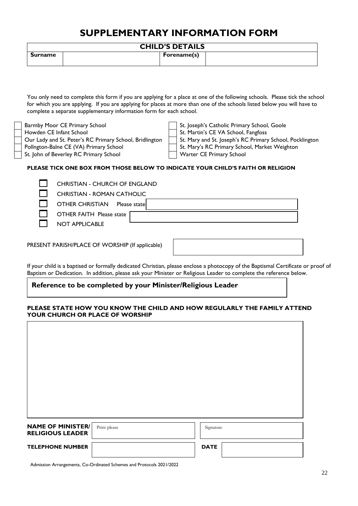# **SUPPLEMENTARY INFORMATION FORM**

| <b>CHILD'S DETAILS</b> |
|------------------------|
|------------------------|

|         | _ _ _ _ _ _ _ _ _ _ _ _ _ |
|---------|---------------------------|
| Surname | Forename(s)               |
|         |                           |

You only need to complete this form if you are applying for a place at one of the following schools. Please tick the school for which you are applying. If you are applying for places at more than one of the schools listed below you will have to complete a separate supplementary information form for each school.

Pollngton-Balne CE (VA) Primary School St. Mary's RC Primary School, Market Weighton

Barmby Moor CE Primary School St. Joseph's Catholic Primary School, Goole

Howden CE Infant School St. Martin's CE VA School, Fangfoss

Our Lady and St. Peter's RC Primary School, Bridlington | St. Mary and St. Joseph's RC Primary School, Pocklington

St. John of Beverley RC Primary School Warter CE Primary School

#### **PLEASE TICK ONE BOX FROM THOSE BELOW TO INDICATE YOUR CHILD'S FAITH OR RELIGION**

CHRISTIAN - CHURCH OF ENGLAND

CHRISTIAN - ROMAN CATHOLIC

OTHER CHRISTIAN Please state

OTHER FAITH Please state

NOT APPLICABLE

PRESENT PARISH/PLACE OF WORSHIP (If applicable)

If your child is a baptised or formally dedicated Christian, please enclose a photocopy of the Baptismal Certificate or proof of Baptism or Dedication. In addition, please ask your Minister or Religious Leader to complete the reference below.

#### **Reference to be completed by your Minister/Religious Leader**

#### **PLEASE STATE HOW YOU KNOW THE CHILD AND HOW REGULARLY THE FAMILY ATTEND YOUR CHURCH OR PLACE OF WORSHIP**

| <b>NAME OF MINISTER/</b><br><b>RELIGIOUS LEADER</b> | Print please | Signature   |
|-----------------------------------------------------|--------------|-------------|
|                                                     |              |             |
| <b>TELEPHONE NUMBER</b>                             |              | <b>DATE</b> |
|                                                     |              |             |

Admission Arrangements, Co-Ordinated Schemes and Protocols 2021/2022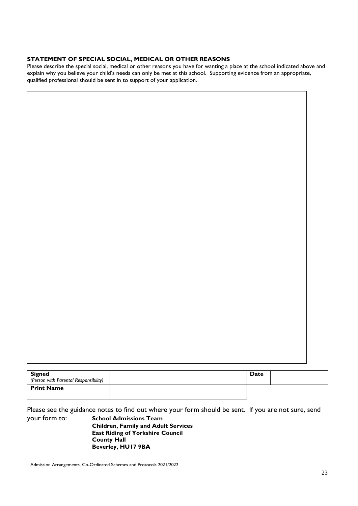#### **STATEMENT OF SPECIAL SOCIAL, MEDICAL OR OTHER REASONS**

Please describe the special social, medical or other reasons you have for wanting a place at the school indicated above and explain why you believe your child's needs can only be met at this school. Supporting evidence from an appropriate, qualified professional should be sent in to support of your application.

| <b>Signed</b><br>(Person with Parental Responsibility) | Date |  |
|--------------------------------------------------------|------|--|
|                                                        |      |  |
| <b>Print Name</b>                                      |      |  |
|                                                        |      |  |

Please see the guidance notes to find out where your form should be sent. If you are not sure, send your form to: **School Admissions Team** 

**Children, Family and Adult Services East Riding of Yorkshire Council County Hall Beverley, HU17 9BA**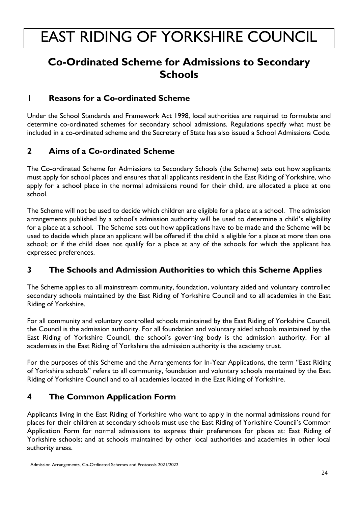# **Co-Ordinated Scheme for Admissions to Secondary Schools**

# **1 Reasons for a Co-ordinated Scheme**

Under the School Standards and Framework Act 1998, local authorities are required to formulate and determine co-ordinated schemes for secondary school admissions. Regulations specify what must be included in a co-ordinated scheme and the Secretary of State has also issued a School Admissions Code.

# **2 Aims of a Co-ordinated Scheme**

The Co-ordinated Scheme for Admissions to Secondary Schools (the Scheme) sets out how applicants must apply for school places and ensures that all applicants resident in the East Riding of Yorkshire, who apply for a school place in the normal admissions round for their child, are allocated a place at one school.

The Scheme will not be used to decide which children are eligible for a place at a school. The admission arrangements published by a school's admission authority will be used to determine a child's eligibility for a place at a school. The Scheme sets out how applications have to be made and the Scheme will be used to decide which place an applicant will be offered if: the child is eligible for a place at more than one school; or if the child does not qualify for a place at any of the schools for which the applicant has expressed preferences.

# **3 The Schools and Admission Authorities to which this Scheme Applies**

The Scheme applies to all mainstream community, foundation, voluntary aided and voluntary controlled secondary schools maintained by the East Riding of Yorkshire Council and to all academies in the East Riding of Yorkshire.

For all community and voluntary controlled schools maintained by the East Riding of Yorkshire Council, the Council is the admission authority. For all foundation and voluntary aided schools maintained by the East Riding of Yorkshire Council, the school's governing body is the admission authority. For all academies in the East Riding of Yorkshire the admission authority is the academy trust.

For the purposes of this Scheme and the Arrangements for In-Year Applications, the term "East Riding of Yorkshire schools" refers to all community, foundation and voluntary schools maintained by the East Riding of Yorkshire Council and to all academies located in the East Riding of Yorkshire.

# **4 The Common Application Form**

Applicants living in the East Riding of Yorkshire who want to apply in the normal admissions round for places for their children at secondary schools must use the East Riding of Yorkshire Council's Common Application Form for normal admissions to express their preferences for places at: East Riding of Yorkshire schools; and at schools maintained by other local authorities and academies in other local authority areas.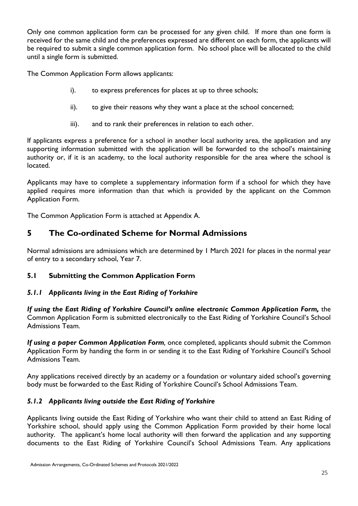Only one common application form can be processed for any given child. If more than one form is received for the same child and the preferences expressed are different on each form, the applicants will be required to submit a single common application form. No school place will be allocated to the child until a single form is submitted.

The Common Application Form allows applicants:

- i). to express preferences for places at up to three schools;
- ii). to give their reasons why they want a place at the school concerned;
- iii). and to rank their preferences in relation to each other.

If applicants express a preference for a school in another local authority area, the application and any supporting information submitted with the application will be forwarded to the school's maintaining authority or, if it is an academy, to the local authority responsible for the area where the school is located.

Applicants may have to complete a supplementary information form if a school for which they have applied requires more information than that which is provided by the applicant on the Common Application Form.

The Common Application Form is attached at Appendix A.

# **5 The Co-ordinated Scheme for Normal Admissions**

Normal admissions are admissions which are determined by 1 March 2021 for places in the normal year of entry to a secondary school, Year 7.

#### **5.1 Submitting the Common Application Form**

#### *5.1.1 Applicants living in the East Riding of Yorkshire*

*If using the East Riding of Yorkshire Council's online electronic Common Application Form,* the Common Application Form is submitted electronically to the East Riding of Yorkshire Council's School Admissions Team.

*If using a paper Common Application Form,* once completed, applicants should submit the Common Application Form by handing the form in or sending it to the East Riding of Yorkshire Council's School Admissions Team.

Any applications received directly by an academy or a foundation or voluntary aided school's governing body must be forwarded to the East Riding of Yorkshire Council's School Admissions Team.

#### *5.1.2 Applicants living outside the East Riding of Yorkshire*

Applicants living outside the East Riding of Yorkshire who want their child to attend an East Riding of Yorkshire school, should apply using the Common Application Form provided by their home local authority. The applicant's home local authority will then forward the application and any supporting documents to the East Riding of Yorkshire Council's School Admissions Team. Any applications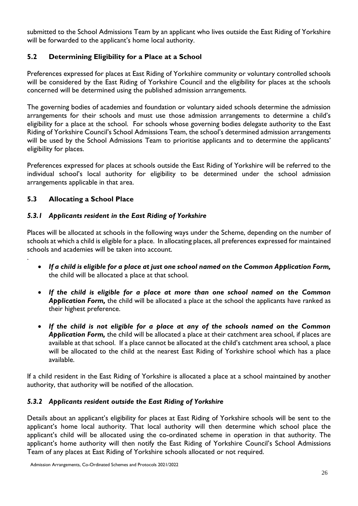submitted to the School Admissions Team by an applicant who lives outside the East Riding of Yorkshire will be forwarded to the applicant's home local authority.

#### **5.2 Determining Eligibility for a Place at a School**

Preferences expressed for places at East Riding of Yorkshire community or voluntary controlled schools will be considered by the East Riding of Yorkshire Council and the eligibility for places at the schools concerned will be determined using the published admission arrangements.

The governing bodies of academies and foundation or voluntary aided schools determine the admission arrangements for their schools and must use those admission arrangements to determine a child's eligibility for a place at the school. For schools whose governing bodies delegate authority to the East Riding of Yorkshire Council's School Admissions Team, the school's determined admission arrangements will be used by the School Admissions Team to prioritise applicants and to determine the applicants' eligibility for places.

Preferences expressed for places at schools outside the East Riding of Yorkshire will be referred to the individual school's local authority for eligibility to be determined under the school admission arrangements applicable in that area.

#### **5.3 Allocating a School Place**

.

#### *5.3.1 Applicants resident in the East Riding of Yorkshire*

Places will be allocated at schools in the following ways under the Scheme, depending on the number of schools at which a child is eligible for a place. In allocating places, all preferences expressed for maintained schools and academies will be taken into account.

- *If a child is eligible for a place at just one school named on the Common Application Form,*  the child will be allocated a place at that school.
- *If the child is eligible for a place at more than one school named on the Common Application Form,* the child will be allocated a place at the school the applicants have ranked as their highest preference.
- *If the child is not eligible for a place at any of the schools named on the Common Application Form,* the child will be allocated a place at their catchment area school, if places are available at that school. If a place cannot be allocated at the child's catchment area school, a place will be allocated to the child at the nearest East Riding of Yorkshire school which has a place available.

If a child resident in the East Riding of Yorkshire is allocated a place at a school maintained by another authority, that authority will be notified of the allocation.

#### *5.3.2 Applicants resident outside the East Riding of Yorkshire*

Details about an applicant's eligibility for places at East Riding of Yorkshire schools will be sent to the applicant's home local authority. That local authority will then determine which school place the applicant's child will be allocated using the co-ordinated scheme in operation in that authority. The applicant's home authority will then notify the East Riding of Yorkshire Council's School Admissions Team of any places at East Riding of Yorkshire schools allocated or not required.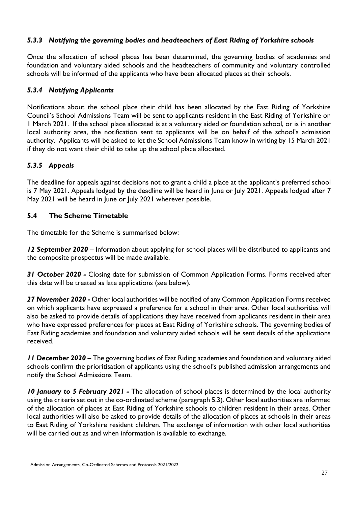#### *5.3.3 Notifying the governing bodies and headteachers of East Riding of Yorkshire schools*

Once the allocation of school places has been determined, the governing bodies of academies and foundation and voluntary aided schools and the headteachers of community and voluntary controlled schools will be informed of the applicants who have been allocated places at their schools.

#### *5.3.4 Notifying Applicants*

Notifications about the school place their child has been allocated by the East Riding of Yorkshire Council's School Admissions Team will be sent to applicants resident in the East Riding of Yorkshire on 1 March 2021. If the school place allocated is at a voluntary aided or foundation school, or is in another local authority area, the notification sent to applicants will be on behalf of the school's admission authority. Applicants will be asked to let the School Admissions Team know in writing by 15 March 2021 if they do not want their child to take up the school place allocated.

#### *5.3.5 Appeals*

The deadline for appeals against decisions not to grant a child a place at the applicant's preferred school is 7 May 2021. Appeals lodged by the deadline will be heard in June or July 2021. Appeals lodged after 7 May 2021 will be heard in June or July 2021 wherever possible.

#### **5.4 The Scheme Timetable**

The timetable for the Scheme is summarised below:

*12 September 2020* – Information about applying for school places will be distributed to applicants and the composite prospectus will be made available.

*31 October 2020 -* Closing date for submission of Common Application Forms. Forms received after this date will be treated as late applications (see below).

*27 November 2020* **-** Other local authorities will be notified of any Common Application Forms received on which applicants have expressed a preference for a school in their area. Other local authorities will also be asked to provide details of applications they have received from applicants resident in their area who have expressed preferences for places at East Riding of Yorkshire schools. The governing bodies of East Riding academies and foundation and voluntary aided schools will be sent details of the applications received.

*11 December 2020 –* The governing bodies of East Riding academies and foundation and voluntary aided schools confirm the prioritisation of applicants using the school's published admission arrangements and notify the School Admissions Team.

*10 January to 5 February 2021 -* The allocation of school places is determined by the local authority using the criteria set out in the co-ordinated scheme (paragraph 5.3). Other local authorities are informed of the allocation of places at East Riding of Yorkshire schools to children resident in their areas. Other local authorities will also be asked to provide details of the allocation of places at schools in their areas to East Riding of Yorkshire resident children. The exchange of information with other local authorities will be carried out as and when information is available to exchange.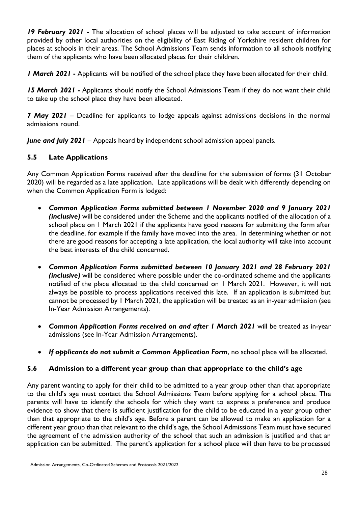*19 February 2021* **-** The allocation of school places will be adjusted to take account of information provided by other local authorities on the eligibility of East Riding of Yorkshire resident children for places at schools in their areas. The School Admissions Team sends information to all schools notifying them of the applicants who have been allocated places for their children.

*1 March 2021* **-** Applicants will be notified of the school place they have been allocated for their child.

*15 March 2021* **-** Applicants should notify the School Admissions Team if they do not want their child to take up the school place they have been allocated.

*7 May 2021* – Deadline for applicants to lodge appeals against admissions decisions in the normal admissions round.

*June and July 2021* – Appeals heard by independent school admission appeal panels.

#### **5.5 Late Applications**

Any Common Application Forms received after the deadline for the submission of forms (31 October 2020) will be regarded as a late application. Late applications will be dealt with differently depending on when the Common Application Form is lodged:

- *Common Application Forms submitted between 1 November 2020 and 9 January 2021 (inclusive)* will be considered under the Scheme and the applicants notified of the allocation of a school place on 1 March 2021 if the applicants have good reasons for submitting the form after the deadline, for example if the family have moved into the area. In determining whether or not there are good reasons for accepting a late application, the local authority will take into account the best interests of the child concerned.
- *Common Application Forms submitted between 10 January 2021 and 28 February 2021 (inclusive)* will be considered where possible under the co-ordinated scheme and the applicants notified of the place allocated to the child concerned on 1 March 2021. However, it will not always be possible to process applications received this late. If an application is submitted but cannot be processed by 1 March 2021, the application will be treated as an in-year admission (see In-Year Admission Arrangements).
- *Common Application Forms received on and after 1 March 2021* will be treated as in-year admissions (see In-Year Admission Arrangements).
- *If applicants do not submit a Common Application Form*, no school place will be allocated.

#### **5.6 Admission to a different year group than that appropriate to the child's age**

Any parent wanting to apply for their child to be admitted to a year group other than that appropriate to the child's age must contact the School Admissions Team before applying for a school place. The parents will have to identify the schools for which they want to express a preference and produce evidence to show that there is sufficient justification for the child to be educated in a year group other than that appropriate to the child's age. Before a parent can be allowed to make an application for a different year group than that relevant to the child's age, the School Admissions Team must have secured the agreement of the admission authority of the school that such an admission is justified and that an application can be submitted. The parent's application for a school place will then have to be processed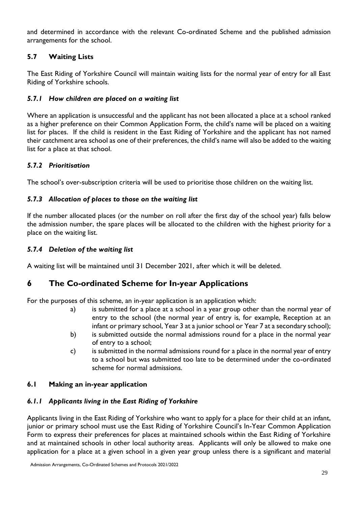and determined in accordance with the relevant Co-ordinated Scheme and the published admission arrangements for the school.

#### **5.7 Waiting Lists**

The East Riding of Yorkshire Council will maintain waiting lists for the normal year of entry for all East Riding of Yorkshire schools.

#### *5.7.1 How children are placed on a waiting list*

Where an application is unsuccessful and the applicant has not been allocated a place at a school ranked as a higher preference on their Common Application Form, the child's name will be placed on a waiting list for places. If the child is resident in the East Riding of Yorkshire and the applicant has not named their catchment area school as one of their preferences, the child's name will also be added to the waiting list for a place at that school.

#### *5.7.2 Prioritisation*

The school's over-subscription criteria will be used to prioritise those children on the waiting list.

#### *5.7.3 Allocation of places to those on the waiting list*

If the number allocated places (or the number on roll after the first day of the school year) falls below the admission number, the spare places will be allocated to the children with the highest priority for a place on the waiting list.

#### *5.7.4 Deletion of the waiting list*

A waiting list will be maintained until 31 December 2021, after which it will be deleted.

### **6 The Co-ordinated Scheme for In-year Applications**

For the purposes of this scheme, an in-year application is an application which:

- a) is submitted for a place at a school in a year group other than the normal year of entry to the school (the normal year of entry is, for example, Reception at an infant or primary school, Year 3 at a junior school or Year 7 at a secondary school);
- b) is submitted outside the normal admissions round for a place in the normal year of entry to a school;
- c) is submitted in the normal admissions round for a place in the normal year of entry to a school but was submitted too late to be determined under the co-ordinated scheme for normal admissions.

#### **6.1 Making an in-year application**

#### *6.1.1 Applicants living in the East Riding of Yorkshire*

Applicants living in the East Riding of Yorkshire who want to apply for a place for their child at an infant, junior or primary school must use the East Riding of Yorkshire Council's In-Year Common Application Form to express their preferences for places at maintained schools within the East Riding of Yorkshire and at maintained schools in other local authority areas. Applicants will only be allowed to make one application for a place at a given school in a given year group unless there is a significant and material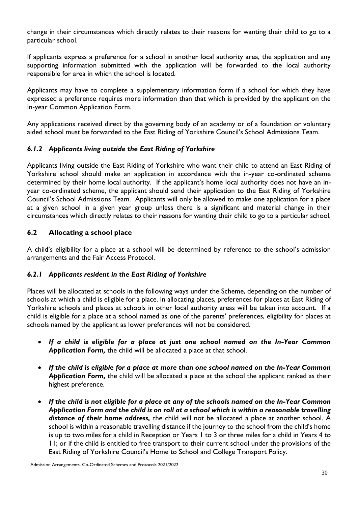change in their circumstances which directly relates to their reasons for wanting their child to go to a particular school.

If applicants express a preference for a school in another local authority area, the application and any supporting information submitted with the application will be forwarded to the local authority responsible for area in which the school is located.

Applicants may have to complete a supplementary information form if a school for which they have expressed a preference requires more information than that which is provided by the applicant on the In-year Common Application Form.

Any applications received direct by the governing body of an academy or of a foundation or voluntary aided school must be forwarded to the East Riding of Yorkshire Council's School Admissions Team.

#### *6.1.2 Applicants living outside the East Riding of Yorkshire*

Applicants living outside the East Riding of Yorkshire who want their child to attend an East Riding of Yorkshire school should make an application in accordance with the in-year co-ordinated scheme determined by their home local authority. If the applicant's home local authority does not have an inyear co-ordinated scheme, the applicant should send their application to the East Riding of Yorkshire Council's School Admissions Team. Applicants will only be allowed to make one application for a place at a given school in a given year group unless there is a significant and material change in their circumstances which directly relates to their reasons for wanting their child to go to a particular school.

#### **6.2 Allocating a school place**

A child's eligibility for a place at a school will be determined by reference to the school's admission arrangements and the Fair Access Protocol.

#### *6.2.1 Applicants resident in the East Riding of Yorkshire*

Places will be allocated at schools in the following ways under the Scheme, depending on the number of schools at which a child is eligible for a place. In allocating places, preferences for places at East Riding of Yorkshire schools and places at schools in other local authority areas will be taken into account. If a child is eligible for a place at a school named as one of the parents' preferences, eligibility for places at schools named by the applicant as lower preferences will not be considered.

- *If a child is eligible for a place at just one school named on the In-Year Common Application Form,* the child will be allocated a place at that school.
- *If the child is eligible for a place at more than one school named on the In-Year Common Application Form,* the child will be allocated a place at the school the applicant ranked as their highest preference.
- *If the child is not eligible for a place at any of the schools named on the In-Year Common Application Form and the child is on roll at a school which is within a reasonable travelling distance of their home address,* the child will not be allocated a place at another school. A school is within a reasonable travelling distance if the journey to the school from the child's home is up to two miles for a child in Reception or Years 1 to 3 or three miles for a child in Years 4 to 11; or if the child is entitled to free transport to their current school under the provisions of the East Riding of Yorkshire Council's Home to School and College Transport Policy.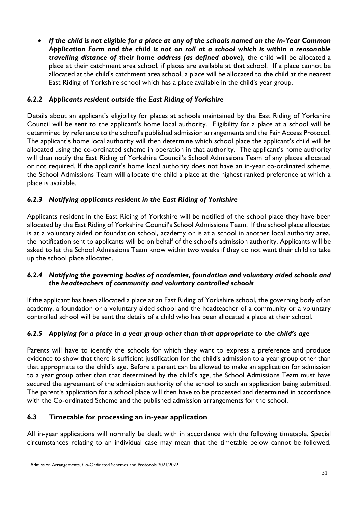*If the child is not eligible for a place at any of the schools named on the In-Year Common Application Form and the child is not on roll at a school which is within a reasonable travelling distance of their home address (as defined above),* the child will be allocated a place at their catchment area school, if places are available at that school. If a place cannot be allocated at the child's catchment area school, a place will be allocated to the child at the nearest East Riding of Yorkshire school which has a place available in the child's year group.

#### *6.2.2 Applicants resident outside the East Riding of Yorkshire*

Details about an applicant's eligibility for places at schools maintained by the East Riding of Yorkshire Council will be sent to the applicant's home local authority. Eligibility for a place at a school will be determined by reference to the school's published admission arrangements and the Fair Access Protocol. The applicant's home local authority will then determine which school place the applicant's child will be allocated using the co-ordinated scheme in operation in that authority. The applicant's home authority will then notify the East Riding of Yorkshire Council's School Admissions Team of any places allocated or not required. If the applicant's home local authority does not have an in-year co-ordinated scheme, the School Admissions Team will allocate the child a place at the highest ranked preference at which a place is available.

#### *6.2.3 Notifying applicants resident in the East Riding of Yorkshire*

Applicants resident in the East Riding of Yorkshire will be notified of the school place they have been allocated by the East Riding of Yorkshire Council's School Admissions Team. If the school place allocated is at a voluntary aided or foundation school, academy or is at a school in another local authority area, the notification sent to applicants will be on behalf of the school's admission authority. Applicants will be asked to let the School Admissions Team know within two weeks if they do not want their child to take up the school place allocated.

#### *6.2.4 Notifying the governing bodies of academies, foundation and voluntary aided schools and the headteachers of community and voluntary controlled schools*

If the applicant has been allocated a place at an East Riding of Yorkshire school, the governing body of an academy, a foundation or a voluntary aided school and the headteacher of a community or a voluntary controlled school will be sent the details of a child who has been allocated a place at their school.

#### *6.2.5 Applying for a place in a year group other than that appropriate to the child's age*

Parents will have to identify the schools for which they want to express a preference and produce evidence to show that there is sufficient justification for the child's admission to a year group other than that appropriate to the child's age. Before a parent can be allowed to make an application for admission to a year group other than that determined by the child's age, the School Admissions Team must have secured the agreement of the admission authority of the school to such an application being submitted. The parent's application for a school place will then have to be processed and determined in accordance with the Co-ordinated Scheme and the published admission arrangements for the school.

#### **6.3 Timetable for processing an in-year application**

All in-year applications will normally be dealt with in accordance with the following timetable. Special circumstances relating to an individual case may mean that the timetable below cannot be followed.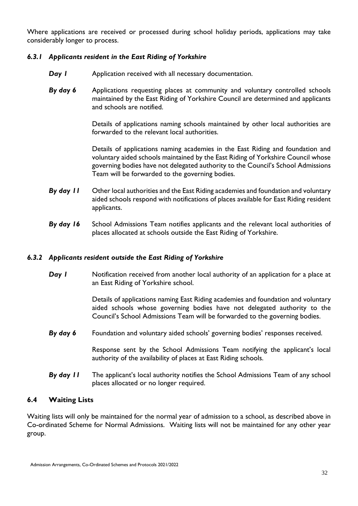Where applications are received or processed during school holiday periods, applications may take considerably longer to process.

#### *6.3.1 Applicants resident in the East Riding of Yorkshire*

- **Day I** Application received with all necessary documentation.
- *By day 6* Applications requesting places at community and voluntary controlled schools maintained by the East Riding of Yorkshire Council are determined and applicants and schools are notified.

Details of applications naming schools maintained by other local authorities are forwarded to the relevant local authorities.

Details of applications naming academies in the East Riding and foundation and voluntary aided schools maintained by the East Riding of Yorkshire Council whose governing bodies have not delegated authority to the Council's School Admissions Team will be forwarded to the governing bodies.

- *By day 11* Other local authorities and the East Riding academies and foundation and voluntary aided schools respond with notifications of places available for East Riding resident applicants.
- *By day 16* School Admissions Team notifies applicants and the relevant local authorities of places allocated at schools outside the East Riding of Yorkshire.

#### *6.3.2 Applicants resident outside the East Riding of Yorkshire*

**Day I** Notification received from another local authority of an application for a place at an East Riding of Yorkshire school.

> Details of applications naming East Riding academies and foundation and voluntary aided schools whose governing bodies have not delegated authority to the Council's School Admissions Team will be forwarded to the governing bodies.

*By day 6* Foundation and voluntary aided schools' governing bodies' responses received.

Response sent by the School Admissions Team notifying the applicant's local authority of the availability of places at East Riding schools.

*By day 11* The applicant's local authority notifies the School Admissions Team of any school places allocated or no longer required.

#### **6.4 Waiting Lists**

Waiting lists will only be maintained for the normal year of admission to a school, as described above in Co-ordinated Scheme for Normal Admissions. Waiting lists will not be maintained for any other year group.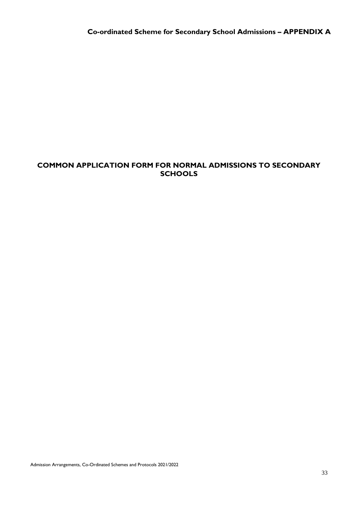#### **COMMON APPLICATION FORM FOR NORMAL ADMISSIONS TO SECONDARY SCHOOLS**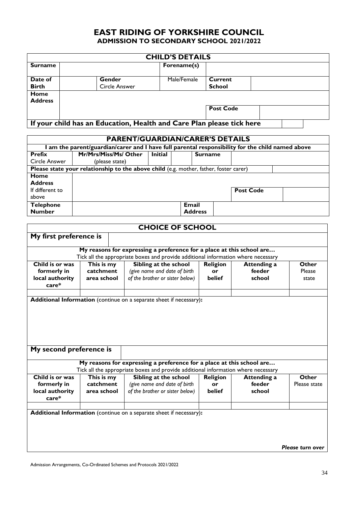### **EAST RIDING OF YORKSHIRE COUNCIL ADMISSION TO SECONDARY SCHOOL 2021/2022**

| <b>CHILD'S DETAILS</b> |                                                                       |             |                  |  |  |  |
|------------------------|-----------------------------------------------------------------------|-------------|------------------|--|--|--|
| <b>Surname</b>         |                                                                       | Forename(s) |                  |  |  |  |
| Date of                | Gender                                                                | Male/Female | Current          |  |  |  |
| <b>Birth</b>           | Circle Answer                                                         |             | <b>School</b>    |  |  |  |
| Home<br><b>Address</b> |                                                                       |             |                  |  |  |  |
|                        |                                                                       |             | <b>Post Code</b> |  |  |  |
|                        | If your child has an Education, Health and Care Plan please tick here |             |                  |  |  |  |

| <b>PARENT/GUARDIAN/CARER'S DETAILS</b>                                                         |                                                                                       |                |                |                  |  |  |
|------------------------------------------------------------------------------------------------|---------------------------------------------------------------------------------------|----------------|----------------|------------------|--|--|
| am the parent/guardian/carer and I have full parental responsibility for the child named above |                                                                                       |                |                |                  |  |  |
| Prefix                                                                                         | Mr/Mrs/Miss/Ms/ Other                                                                 | <b>Initial</b> | <b>Surname</b> |                  |  |  |
| Circle Answer                                                                                  | (please state)                                                                        |                |                |                  |  |  |
|                                                                                                | Please state your relationship to the above child (e.g. mother, father, foster carer) |                |                |                  |  |  |
| Home                                                                                           |                                                                                       |                |                |                  |  |  |
| <b>Address</b>                                                                                 |                                                                                       |                |                |                  |  |  |
| If different to                                                                                |                                                                                       |                |                | <b>Post Code</b> |  |  |
| above                                                                                          |                                                                                       |                |                |                  |  |  |
| <b>Telephone</b>                                                                               |                                                                                       |                | Email          |                  |  |  |
| <b>Number</b>                                                                                  |                                                                                       |                | <b>Address</b> |                  |  |  |

|                          |             |                              | <b>CHOICE OF SCHOOL</b>                                                                                                                                    |                 |                    |                  |
|--------------------------|-------------|------------------------------|------------------------------------------------------------------------------------------------------------------------------------------------------------|-----------------|--------------------|------------------|
| My first preference is   |             |                              |                                                                                                                                                            |                 |                    |                  |
|                          |             |                              |                                                                                                                                                            |                 |                    |                  |
|                          |             |                              | My reasons for expressing a preference for a place at this school are<br>Tick all the appropriate boxes and provide additional information where necessary |                 |                    |                  |
| Child is or was          | This is my  |                              | Sibling at the school                                                                                                                                      | <b>Religion</b> | <b>Attending a</b> | Other            |
| catchment<br>formerly in |             | (give name and date of birth | or                                                                                                                                                         | feeder          | Please             |                  |
| local authority          | area school |                              | of the brother or sister below)                                                                                                                            | belief          | school             | state            |
| $care*$                  |             |                              |                                                                                                                                                            |                 |                    |                  |
|                          |             |                              |                                                                                                                                                            |                 |                    |                  |
|                          |             |                              | Additional Information (continue on a separate sheet if necessary):                                                                                        |                 |                    |                  |
|                          |             |                              |                                                                                                                                                            |                 |                    |                  |
|                          |             |                              |                                                                                                                                                            |                 |                    |                  |
|                          |             |                              |                                                                                                                                                            |                 |                    |                  |
|                          |             |                              |                                                                                                                                                            |                 |                    |                  |
|                          |             |                              |                                                                                                                                                            |                 |                    |                  |
| My second preference is  |             |                              |                                                                                                                                                            |                 |                    |                  |
|                          |             |                              |                                                                                                                                                            |                 |                    |                  |
|                          |             |                              | My reasons for expressing a preference for a place at this school are                                                                                      |                 |                    |                  |
|                          |             |                              | Tick all the appropriate boxes and provide additional information where necessary                                                                          |                 |                    |                  |
| Child is or was          | This is my  |                              | Sibling at the school                                                                                                                                      | <b>Religion</b> | <b>Attending a</b> | <b>Other</b>     |
| formerly in              | catchment   |                              | (give name and date of birth                                                                                                                               | or              | feeder             | Please state     |
| local authority          | area school |                              | of the brother or sister below)                                                                                                                            | belief          | school             |                  |
| care*                    |             |                              |                                                                                                                                                            |                 |                    |                  |
|                          |             |                              |                                                                                                                                                            |                 |                    |                  |
|                          |             |                              | Additional Information (continue on a separate sheet if necessary):                                                                                        |                 |                    |                  |
|                          |             |                              |                                                                                                                                                            |                 |                    |                  |
|                          |             |                              |                                                                                                                                                            |                 |                    |                  |
|                          |             |                              |                                                                                                                                                            |                 |                    |                  |
|                          |             |                              |                                                                                                                                                            |                 |                    | Please turn over |
|                          |             |                              |                                                                                                                                                            |                 |                    |                  |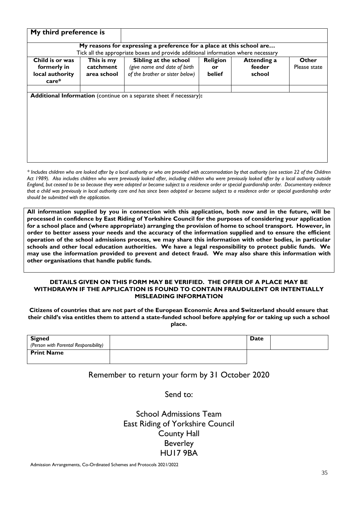|                                                              | My third preference is                 |                                                                                          |                          |                                 |                       |
|--------------------------------------------------------------|----------------------------------------|------------------------------------------------------------------------------------------|--------------------------|---------------------------------|-----------------------|
|                                                              |                                        | My reasons for expressing a preference for a place at this school are                    |                          |                                 |                       |
|                                                              |                                        | Tick all the appropriate boxes and provide additional information where necessary        |                          |                                 |                       |
| Child is or was<br>formerly in<br>local authority<br>$care*$ | This is my<br>catchment<br>area school | Sibling at the school<br>(give name and date of birth<br>of the brother or sister below) | Religion<br>or<br>belief | Attending a<br>feeder<br>school | Other<br>Please state |
|                                                              |                                        |                                                                                          |                          |                                 |                       |

*\* Includes children who are looked after by a local authority or who are provided with accommodation by that authority (see section 22 of the Children*  Act 1989). Also includes children who were previously looked after, including children who were previously looked after by a local authority outside *England, but ceased to be so because they were adopted or became subject to a residence order or special guardianship order. Documentary evidence that a child was previously in local authority care and has since been adopted or become subject to a residence order or special guardianship order should be submitted with the application.*

**All information supplied by you in connection with this application, both now and in the future, will be processed in confidence by East Riding of Yorkshire Council for the purposes of considering your application for a school place and (where appropriate) arranging the provision of home to school transport. However, in order to better assess your needs and the accuracy of the information supplied and to ensure the efficient operation of the school admissions process, we may share this information with other bodies, in particular schools and other local education authorities. We have a legal responsibility to protect public funds. We may use the information provided to prevent and detect fraud. We may also share this information with other organisations that handle public funds.**

#### **DETAILS GIVEN ON THIS FORM MAY BE VERIFIED. THE OFFER OF A PLACE MAY BE WITHDRAWN IF THE APPLICATION IS FOUND TO CONTAIN FRAUDULENT OR INTENTIALLY MISLEADING INFORMATION**

**Citizens of countries that are not part of the European Economic Area and Switzerland should ensure that their child's visa entitles them to attend a state-funded school before applying for or taking up such a school place.**

| <b>Signed</b>                         | Date |  |
|---------------------------------------|------|--|
| (Person with Parental Responsibility) |      |  |
| <b>Print Name</b>                     |      |  |
|                                       |      |  |

#### Remember to return your form by 31 October 2020

Send to:

School Admissions Team East Riding of Yorkshire Council County Hall Beverley HU17 9BA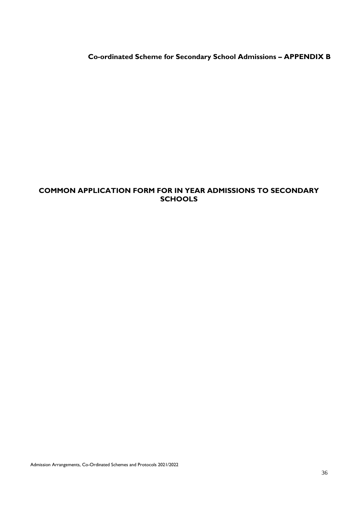**Co-ordinated Scheme for Secondary School Admissions – APPENDIX B** 

#### **COMMON APPLICATION FORM FOR IN YEAR ADMISSIONS TO SECONDARY SCHOOLS**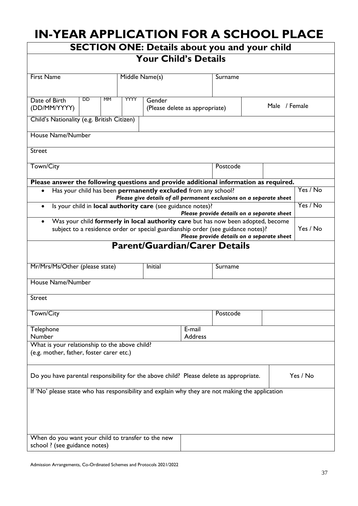# **IN-YEAR APPLICATION FOR A SCHOOL PLACE**

|                                                                                                 |             |                                      |                          | <b>SECTION ONE: Details about you and your child</b>                |               |          |
|-------------------------------------------------------------------------------------------------|-------------|--------------------------------------|--------------------------|---------------------------------------------------------------------|---------------|----------|
|                                                                                                 |             | <b>Your Child's Details</b>          |                          |                                                                     |               |          |
| <b>First Name</b>                                                                               |             | Middle Name(s)                       | Surname                  |                                                                     |               |          |
| Date of Birth<br>DD<br><b>MM</b>                                                                | <b>YYYY</b> | Gender                               |                          |                                                                     |               |          |
| (DD/MM/YYYY)                                                                                    |             | (Please delete as appropriate)       |                          |                                                                     | Male / Female |          |
| Child's Nationality (e.g. British Citizen)                                                      |             |                                      |                          |                                                                     |               |          |
| House Name/Number                                                                               |             |                                      |                          |                                                                     |               |          |
| <b>Street</b>                                                                                   |             |                                      |                          |                                                                     |               |          |
| Town/City                                                                                       |             |                                      |                          | Postcode                                                            |               |          |
| Please answer the following questions and provide additional information as required.           |             |                                      |                          |                                                                     |               |          |
| Has your child has been permanently excluded from any school?                                   |             |                                      |                          | Please give details of all permanent exclusions on a separate sheet |               | Yes / No |
| Is your child in local authority care (see guidance notes)?                                     |             |                                      |                          | Please provide details on a separate sheet                          |               | Yes / No |
| Was your child formerly in local authority care but has now been adopted, become<br>$\bullet$   |             |                                      |                          |                                                                     |               |          |
| subject to a residence order or special guardianship order (see guidance notes)?                |             |                                      |                          | Please provide details on a separate sheet                          |               | Yes / No |
|                                                                                                 |             | <b>Parent/Guardian/Carer Details</b> |                          |                                                                     |               |          |
| Mr/Mrs/Ms/Other (please state)                                                                  |             | Initial                              |                          | Surname                                                             |               |          |
| House Name/Number                                                                               |             |                                      |                          |                                                                     |               |          |
| <b>Street</b>                                                                                   |             |                                      |                          |                                                                     |               |          |
| Town/City                                                                                       |             |                                      |                          | Postcode                                                            |               |          |
| Telephone<br>Number                                                                             |             |                                      | E-mail<br><b>Address</b> |                                                                     |               |          |
| What is your relationship to the above child?                                                   |             |                                      |                          |                                                                     |               |          |
| (e.g. mother, father, foster carer etc.)                                                        |             |                                      |                          |                                                                     |               |          |
| Do you have parental responsibility for the above child? Please delete as appropriate.          |             |                                      |                          |                                                                     |               | Yes / No |
| If 'No' please state who has responsibility and explain why they are not making the application |             |                                      |                          |                                                                     |               |          |
|                                                                                                 |             |                                      |                          |                                                                     |               |          |
|                                                                                                 |             |                                      |                          |                                                                     |               |          |
|                                                                                                 |             |                                      |                          |                                                                     |               |          |
| When do you want your child to transfer to the new<br>school ? (see guidance notes)             |             |                                      |                          |                                                                     |               |          |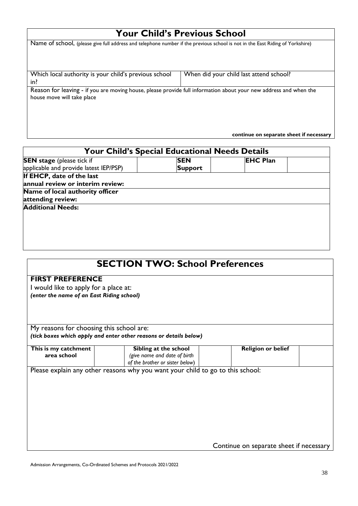# **Your Child's Previous School**

| Name of school, (please give full address and telephone number if the previous school is not in the East Riding of Yorkshire)                   |                                         |
|-------------------------------------------------------------------------------------------------------------------------------------------------|-----------------------------------------|
| Which local authority is your child's previous school<br>in?                                                                                    | When did your child last attend school? |
| Reason for leaving - if you are moving house, please provide full information about your new address and when the<br>house move will take place |                                         |
|                                                                                                                                                 | continue on separate sheet if necessary |

| <b>Your Child's Special Educational Needs Details</b> |                |                 |  |  |
|-------------------------------------------------------|----------------|-----------------|--|--|
| <b>SEN stage</b> (please tick if                      | <b>SEN</b>     | <b>EHC Plan</b> |  |  |
| applicable and provide latest IEP/PSP)                | <b>Support</b> |                 |  |  |
| If EHCP, date of the last                             |                |                 |  |  |
| annual review or interim review:                      |                |                 |  |  |
| Name of local authority officer                       |                |                 |  |  |
| attending review:                                     |                |                 |  |  |
| <b>Additional Needs:</b>                              |                |                 |  |  |
|                                                       |                |                 |  |  |
|                                                       |                |                 |  |  |
|                                                       |                |                 |  |  |
|                                                       |                |                 |  |  |
|                                                       |                |                 |  |  |

|                                           | <b>SECTION TWO: School Preferences</b>                                         |                                         |  |  |  |
|-------------------------------------------|--------------------------------------------------------------------------------|-----------------------------------------|--|--|--|
| <b>FIRST PREFERENCE</b>                   |                                                                                |                                         |  |  |  |
| I would like to apply for a place at:     |                                                                                |                                         |  |  |  |
| (enter the name of an East Riding school) |                                                                                |                                         |  |  |  |
|                                           |                                                                                |                                         |  |  |  |
|                                           |                                                                                |                                         |  |  |  |
|                                           |                                                                                |                                         |  |  |  |
| My reasons for choosing this school are:  |                                                                                |                                         |  |  |  |
|                                           | (tick boxes which apply and enter other reasons or details below)              |                                         |  |  |  |
| This is my catchment                      | Sibling at the school                                                          | <b>Religion or belief</b>               |  |  |  |
| area school                               | (give name and date of birth                                                   |                                         |  |  |  |
|                                           | of the brother or sister below)                                                |                                         |  |  |  |
|                                           | Please explain any other reasons why you want your child to go to this school: |                                         |  |  |  |
|                                           |                                                                                |                                         |  |  |  |
|                                           |                                                                                |                                         |  |  |  |
|                                           |                                                                                |                                         |  |  |  |
|                                           |                                                                                |                                         |  |  |  |
|                                           |                                                                                |                                         |  |  |  |
|                                           |                                                                                |                                         |  |  |  |
|                                           |                                                                                |                                         |  |  |  |
|                                           |                                                                                |                                         |  |  |  |
|                                           |                                                                                | Continue on separate sheet if necessary |  |  |  |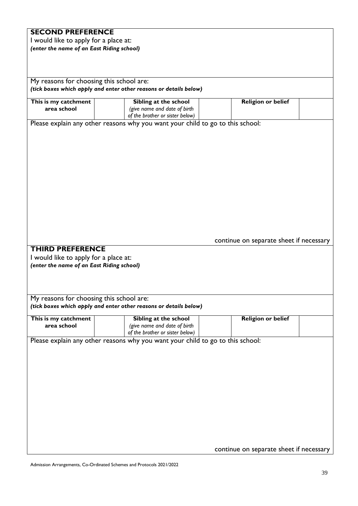# **SECOND PREFERENCE**

I would like to apply for a place at: *(enter the name of an East Riding school)*

My reasons for choosing this school are: *(tick boxes which apply and enter other reasons or details below)*

| This is my catchment                                             | Sibling at the school                                                          | <b>Religion or belief</b>               |  |
|------------------------------------------------------------------|--------------------------------------------------------------------------------|-----------------------------------------|--|
| area school                                                      | (give name and date of birth                                                   |                                         |  |
|                                                                  | of the brother or sister below)                                                |                                         |  |
|                                                                  | Please explain any other reasons why you want your child to go to this school: |                                         |  |
|                                                                  |                                                                                |                                         |  |
|                                                                  |                                                                                |                                         |  |
|                                                                  |                                                                                |                                         |  |
|                                                                  |                                                                                |                                         |  |
|                                                                  |                                                                                |                                         |  |
|                                                                  |                                                                                |                                         |  |
|                                                                  |                                                                                |                                         |  |
|                                                                  |                                                                                |                                         |  |
|                                                                  |                                                                                |                                         |  |
|                                                                  |                                                                                |                                         |  |
|                                                                  |                                                                                |                                         |  |
|                                                                  |                                                                                |                                         |  |
|                                                                  |                                                                                |                                         |  |
|                                                                  |                                                                                |                                         |  |
|                                                                  |                                                                                |                                         |  |
|                                                                  |                                                                                | continue on separate sheet if necessary |  |
| <b>THIRD PREFERENCE</b>                                          |                                                                                |                                         |  |
|                                                                  |                                                                                |                                         |  |
| I would like to apply for a place at:                            |                                                                                |                                         |  |
| (enter the name of an East Riding school)                        |                                                                                |                                         |  |
|                                                                  |                                                                                |                                         |  |
|                                                                  |                                                                                |                                         |  |
|                                                                  |                                                                                |                                         |  |
|                                                                  |                                                                                |                                         |  |
|                                                                  |                                                                                |                                         |  |
|                                                                  |                                                                                |                                         |  |
|                                                                  | (tick boxes which apply and enter other reasons or details below)              |                                         |  |
|                                                                  |                                                                                |                                         |  |
|                                                                  | Sibling at the school                                                          | <b>Religion or belief</b>               |  |
| area school                                                      | (give name and date of birth                                                   |                                         |  |
|                                                                  | of the brother or sister below)                                                |                                         |  |
|                                                                  | Please explain any other reasons why you want your child to go to this school: |                                         |  |
|                                                                  |                                                                                |                                         |  |
|                                                                  |                                                                                |                                         |  |
| My reasons for choosing this school are:<br>This is my catchment |                                                                                |                                         |  |
|                                                                  |                                                                                |                                         |  |
|                                                                  |                                                                                |                                         |  |
|                                                                  |                                                                                |                                         |  |
|                                                                  |                                                                                |                                         |  |
|                                                                  |                                                                                |                                         |  |
|                                                                  |                                                                                |                                         |  |
|                                                                  |                                                                                |                                         |  |
|                                                                  |                                                                                |                                         |  |
|                                                                  |                                                                                |                                         |  |
|                                                                  |                                                                                |                                         |  |
|                                                                  |                                                                                |                                         |  |
|                                                                  |                                                                                |                                         |  |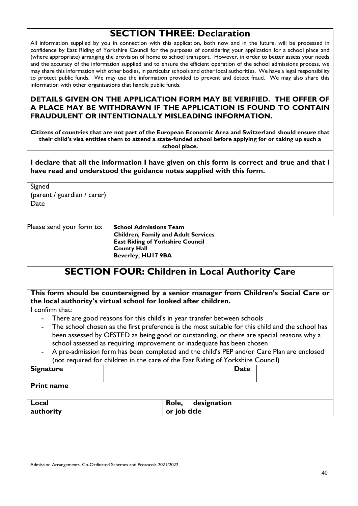# **SECTION THREE: Declaration**

All information supplied by you in connection with this application, both now and in the future, will be processed in confidence by East Riding of Yorkshire Council for the purposes of considering your application for a school place and (where appropriate) arranging the provision of home to school transport. However, in order to better assess your needs and the accuracy of the information supplied and to ensure the efficient operation of the school admissions process, we may share this information with other bodies, in particular schools and other local authorities. We have a legal responsibility to protect public funds. We may use the information provided to prevent and detect fraud. We may also share this information with other organisations that handle public funds.

#### **DETAILS GIVEN ON THE APPLICATION FORM MAY BE VERIFIED. THE OFFER OF A PLACE MAY BE WITHDRAWN IF THE APPLICATION IS FOUND TO CONTAIN FRAUDULENT OR INTENTIONALLY MISLEADING INFORMATION.**

**Citizens of countries that are not part of the European Economic Area and Switzerland should ensure that their child's visa entitles them to attend a state-funded school before applying for or taking up such a school place.**

**I declare that all the information I have given on this form is correct and true and that I have read and understood the guidance notes supplied with this form.**

Signed (parent / guardian / carer)

Date

Please send your form to: **School Admissions Team** 

**Children, Family and Adult Services East Riding of Yorkshire Council County Hall Beverley, HU17 9BA**

# **SECTION FOUR: Children in Local Authority Care**

**This form should be countersigned by a senior manager from Children's Social Care or the local authority's virtual school for looked after children.**

I confirm that:

- There are good reasons for this child's in year transfer between schools
- The school chosen as the first preference is the most suitable for this child and the school has been assessed by OFSTED as being good or outstanding, or there are special reasons why a school assessed as requiring improvement or inadequate has been chosen
- A pre-admission form has been completed and the child's PEP and/or Care Plan are enclosed (not required for children in the care of the East Riding of Yorkshire Council)

| <b>Signature</b>   | <b>Date</b>                          |
|--------------------|--------------------------------------|
| <b>Print name</b>  |                                      |
| Local<br>authority | designation<br>Role,<br>or job title |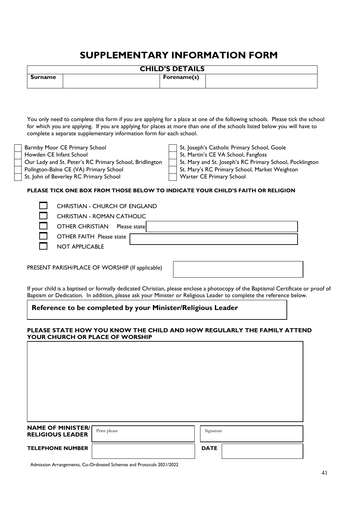# **SUPPLEMENTARY INFORMATION FORM**

| <b>CHILD'S DETAILS</b> |  |             |  |
|------------------------|--|-------------|--|
| Surname                |  | Forename(s) |  |

You only need to complete this form if you are applying for a place at one of the following schools. Please tick the school for which you are applying. If you are applying for places at more than one of the schools listed below you will have to complete a separate supplementary information form for each school.

Pollngton-Balne CE (VA) Primary School St. Mary's RC Primary School, Market Weighton

St. John of Beverley RC Primary School Warter CE Primary School

Barmby Moor CE Primary School<br>
Howden CE Infant School<br>
St. Martin's CE VA School, Fangfoss

St. Martin's CE VA School, Fangfoss

Our Lady and St. Peter's RC Primary School, Bridlington St. Mary and St. Joseph's RC Primary School, Pocklington

#### **PLEASE TICK ONE BOX FROM THOSE BELOW TO INDICATE YOUR CHILD'S FAITH OR RELIGION**

| <b>CHRISTIAN - CHURCH OF ENGLAND</b>    |
|-----------------------------------------|
| <b>CHRISTIAN - ROMAN CATHOLIC</b>       |
| <b>OTHER CHRISTIAN</b><br>Please statel |
| OTHER FAITH Please state                |
| <b>NOT APPLICABLE</b>                   |
|                                         |

PRESENT PARISH/PLACE OF WORSHIP (If applicable)

|  |  | If your child is a baptised or formally dedicated Christian, please enclose a photocopy of the Baptismal Certificate or proof of |  |
|--|--|----------------------------------------------------------------------------------------------------------------------------------|--|
|  |  | Baptism or Dedication. In addition, please ask your Minister or Religious Leader to complete the reference below.                |  |

#### **Reference to be completed by your Minister/Religious Leader**

#### **PLEASE STATE HOW YOU KNOW THE CHILD AND HOW REGULARLY THE FAMILY ATTEND YOUR CHURCH OR PLACE OF WORSHIP**

| <b>NAME OF MINISTER/[</b><br><b>RELIGIOUS LEADER</b> | Print please | Signature   |
|------------------------------------------------------|--------------|-------------|
| <b>TELEPHONE NUMBER</b>                              |              | <b>DATE</b> |

Admission Arrangements, Co-Ordinated Schemes and Protocols 2021/2022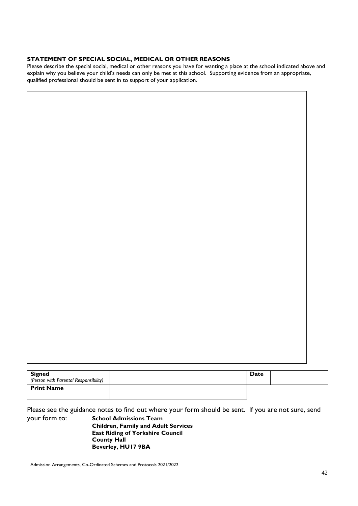#### **STATEMENT OF SPECIAL SOCIAL, MEDICAL OR OTHER REASONS**

Please describe the special social, medical or other reasons you have for wanting a place at the school indicated above and explain why you believe your child's needs can only be met at this school. Supporting evidence from an appropriate, qualified professional should be sent in to support of your application.

| <b>Signed</b>                         | Date |  |
|---------------------------------------|------|--|
| (Person with Parental Responsibility) |      |  |
| <b>Print Name</b>                     |      |  |
|                                       |      |  |

Please see the guidance notes to find out where your form should be sent. If you are not sure, send your form to: **School Admissions Team** 

**Children, Family and Adult Services East Riding of Yorkshire Council County Hall Beverley, HU17 9BA**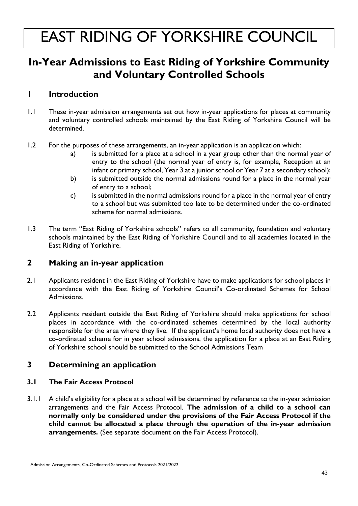# **In-Year Admissions to East Riding of Yorkshire Community and Voluntary Controlled Schools**

## **1 Introduction**

- 1.1 These in-year admission arrangements set out how in-year applications for places at community and voluntary controlled schools maintained by the East Riding of Yorkshire Council will be determined.
- 1.2 For the purposes of these arrangements, an in-year application is an application which:
	- a) is submitted for a place at a school in a year group other than the normal year of entry to the school (the normal year of entry is, for example, Reception at an infant or primary school, Year 3 at a junior school or Year 7 at a secondary school);
	- b) is submitted outside the normal admissions round for a place in the normal year of entry to a school;
	- c) is submitted in the normal admissions round for a place in the normal year of entry to a school but was submitted too late to be determined under the co-ordinated scheme for normal admissions.
- 1.3 The term "East Riding of Yorkshire schools" refers to all community, foundation and voluntary schools maintained by the East Riding of Yorkshire Council and to all academies located in the East Riding of Yorkshire.

### **2 Making an in-year application**

- 2.1 Applicants resident in the East Riding of Yorkshire have to make applications for school places in accordance with the East Riding of Yorkshire Council's Co-ordinated Schemes for School Admissions.
- 2.2 Applicants resident outside the East Riding of Yorkshire should make applications for school places in accordance with the co-ordinated schemes determined by the local authority responsible for the area where they live. If the applicant's home local authority does not have a co-ordinated scheme for in year school admissions, the application for a place at an East Riding of Yorkshire school should be submitted to the School Admissions Team

# **3 Determining an application**

#### **3.1 The Fair Access Protocol**

3.1.1 A child's eligibility for a place at a school will be determined by reference to the in-year admission arrangements and the Fair Access Protocol. **The admission of a child to a school can normally only be considered under the provisions of the Fair Access Protocol if the child cannot be allocated a place through the operation of the in-year admission arrangements.** (See separate document on the Fair Access Protocol).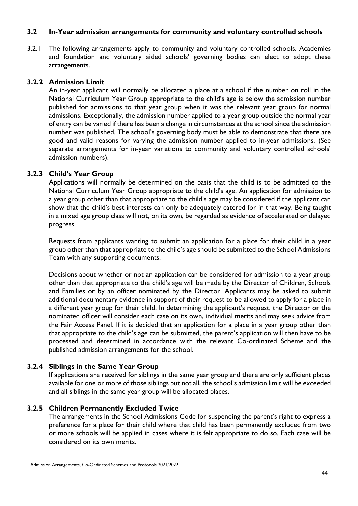#### **3.2 In-Year admission arrangements for community and voluntary controlled schools**

3.2.1 The following arrangements apply to community and voluntary controlled schools. Academies and foundation and voluntary aided schools' governing bodies can elect to adopt these arrangements.

#### **3.2.2 Admission Limit**

An in-year applicant will normally be allocated a place at a school if the number on roll in the National Curriculum Year Group appropriate to the child's age is below the admission number published for admissions to that year group when it was the relevant year group for normal admissions. Exceptionally, the admission number applied to a year group outside the normal year of entry can be varied if there has been a change in circumstances at the school since the admission number was published. The school's governing body must be able to demonstrate that there are good and valid reasons for varying the admission number applied to in-year admissions. (See separate arrangements for in-year variations to community and voluntary controlled schools' admission numbers).

#### **3.2.3 Child's Year Group**

Applications will normally be determined on the basis that the child is to be admitted to the National Curriculum Year Group appropriate to the child's age. An application for admission to a year group other than that appropriate to the child's age may be considered if the applicant can show that the child's best interests can only be adequately catered for in that way. Being taught in a mixed age group class will not, on its own, be regarded as evidence of accelerated or delayed progress.

Requests from applicants wanting to submit an application for a place for their child in a year group other than that appropriate to the child's age should be submitted to the School Admissions Team with any supporting documents.

Decisions about whether or not an application can be considered for admission to a year group other than that appropriate to the child's age will be made by the Director of Children, Schools and Families or by an officer nominated by the Director. Applicants may be asked to submit additional documentary evidence in support of their request to be allowed to apply for a place in a different year group for their child. In determining the applicant's request, the Director or the nominated officer will consider each case on its own, individual merits and may seek advice from the Fair Access Panel. If it is decided that an application for a place in a year group other than that appropriate to the child's age can be submitted, the parent's application will then have to be processed and determined in accordance with the relevant Co-ordinated Scheme and the published admission arrangements for the school.

#### **3.2.4 Siblings in the Same Year Group**

If applications are received for siblings in the same year group and there are only sufficient places available for one or more of those siblings but not all, the school's admission limit will be exceeded and all siblings in the same year group will be allocated places.

#### **3.2.5 Children Permanently Excluded Twice**

The arrangements in the School Admissions Code for suspending the parent's right to express a preference for a place for their child where that child has been permanently excluded from two or more schools will be applied in cases where it is felt appropriate to do so. Each case will be considered on its own merits.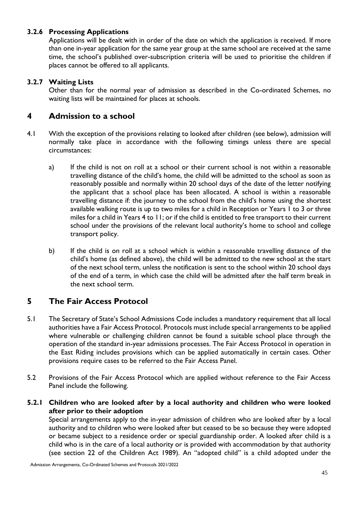#### **3.2.6 Processing Applications**

Applications will be dealt with in order of the date on which the application is received. If more than one in-year application for the same year group at the same school are received at the same time, the school's published over-subscription criteria will be used to prioritise the children if places cannot be offered to all applicants.

#### **3.2.7 Waiting Lists**

Other than for the normal year of admission as described in the Co-ordinated Schemes, no waiting lists will be maintained for places at schools.

### **4 Admission to a school**

- 4.1 With the exception of the provisions relating to looked after children (see below), admission will normally take place in accordance with the following timings unless there are special circumstances:
	- a) If the child is not on roll at a school or their current school is not within a reasonable travelling distance of the child's home, the child will be admitted to the school as soon as reasonably possible and normally within 20 school days of the date of the letter notifying the applicant that a school place has been allocated. A school is within a reasonable travelling distance if: the journey to the school from the child's home using the shortest available walking route is up to two miles for a child in Reception or Years 1 to 3 or three miles for a child in Years 4 to 11; or if the child is entitled to free transport to their current school under the provisions of the relevant local authority's home to school and college transport policy.
	- b) If the child is on roll at a school which is within a reasonable travelling distance of the child's home (as defined above), the child will be admitted to the new school at the start of the next school term, unless the notification is sent to the school within 20 school days of the end of a term, in which case the child will be admitted after the half term break in the next school term.

### **5 The Fair Access Protocol**

- 5.1 The Secretary of State's School Admissions Code includes a mandatory requirement that all local authorities have a Fair Access Protocol. Protocols must include special arrangements to be applied where vulnerable or challenging children cannot be found a suitable school place through the operation of the standard in-year admissions processes. The Fair Access Protocol in operation in the East Riding includes provisions which can be applied automatically in certain cases. Other provisions require cases to be referred to the Fair Access Panel.
- 5.2 Provisions of the Fair Access Protocol which are applied without reference to the Fair Access Panel include the following.
- **5.2.1 Children who are looked after by a local authority and children who were looked after prior to their adoption**

Special arrangements apply to the in-year admission of children who are looked after by a local authority and to children who were looked after but ceased to be so because they were adopted or became subject to a residence order or special guardianship order. A looked after child is a child who is in the care of a local authority or is provided with accommodation by that authority (see section 22 of the Children Act 1989). An "adopted child" is a child adopted under the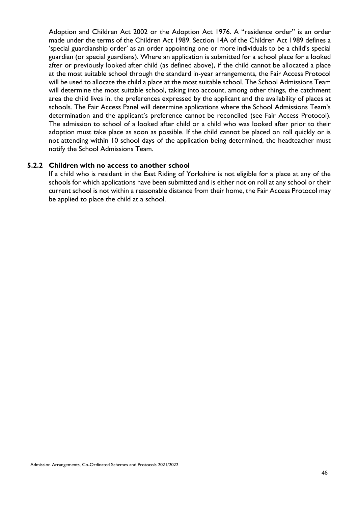Adoption and Children Act 2002 or the Adoption Act 1976. A "residence order" is an order made under the terms of the Children Act 1989. Section 14A of the Children Act 1989 defines a 'special guardianship order' as an order appointing one or more individuals to be a child's special guardian (or special guardians). Where an application is submitted for a school place for a looked after or previously looked after child (as defined above), if the child cannot be allocated a place at the most suitable school through the standard in-year arrangements, the Fair Access Protocol will be used to allocate the child a place at the most suitable school. The School Admissions Team will determine the most suitable school, taking into account, among other things, the catchment area the child lives in, the preferences expressed by the applicant and the availability of places at schools. The Fair Access Panel will determine applications where the School Admissions Team's determination and the applicant's preference cannot be reconciled (see Fair Access Protocol). The admission to school of a looked after child or a child who was looked after prior to their adoption must take place as soon as possible. If the child cannot be placed on roll quickly or is not attending within 10 school days of the application being determined, the headteacher must notify the School Admissions Team.

#### **5.2.2 Children with no access to another school**

If a child who is resident in the East Riding of Yorkshire is not eligible for a place at any of the schools for which applications have been submitted and is either not on roll at any school or their current school is not within a reasonable distance from their home, the Fair Access Protocol may be applied to place the child at a school.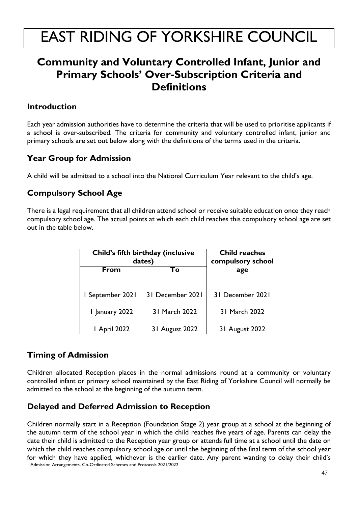# **Community and Voluntary Controlled Infant, Junior and Primary Schools' Over-Subscription Criteria and Definitions**

## **Introduction**

Each year admission authorities have to determine the criteria that will be used to prioritise applicants if a school is over-subscribed. The criteria for community and voluntary controlled infant, junior and primary schools are set out below along with the definitions of the terms used in the criteria.

# **Year Group for Admission**

A child will be admitted to a school into the National Curriculum Year relevant to the child's age.

# **Compulsory School Age**

There is a legal requirement that all children attend school or receive suitable education once they reach compulsory school age. The actual points at which each child reaches this compulsory school age are set out in the table below.

|                     | Child's fifth birthday (inclusive<br>dates) | <b>Child reaches</b><br>compulsory school |  |
|---------------------|---------------------------------------------|-------------------------------------------|--|
| From                | Τо                                          | age                                       |  |
| I September 2021    | 31 December 2021                            | 31 December 2021                          |  |
| I January 2022      | 31 March 2022                               | 31 March 2022                             |  |
| <b>I</b> April 2022 | 31 August 2022                              | 31 August 2022                            |  |

# **Timing of Admission**

Children allocated Reception places in the normal admissions round at a community or voluntary controlled infant or primary school maintained by the East Riding of Yorkshire Council will normally be admitted to the school at the beginning of the autumn term.

# **Delayed and Deferred Admission to Reception**

Admission Arrangements, Co-Ordinated Schemes and Protocols 2021/2022 Children normally start in a Reception (Foundation Stage 2) year group at a school at the beginning of the autumn term of the school year in which the child reaches five years of age. Parents can delay the date their child is admitted to the Reception year group or attends full time at a school until the date on which the child reaches compulsory school age or until the beginning of the final term of the school year for which they have applied, whichever is the earlier date. Any parent wanting to delay their child's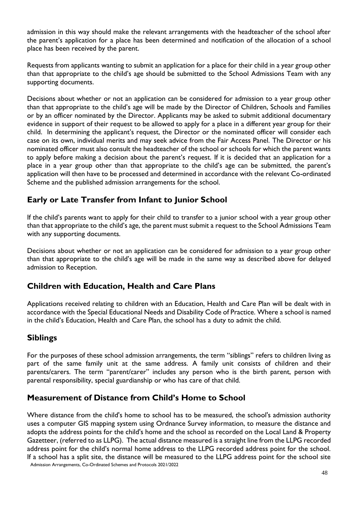admission in this way should make the relevant arrangements with the headteacher of the school after the parent's application for a place has been determined and notification of the allocation of a school place has been received by the parent.

Requests from applicants wanting to submit an application for a place for their child in a year group other than that appropriate to the child's age should be submitted to the School Admissions Team with any supporting documents.

Decisions about whether or not an application can be considered for admission to a year group other than that appropriate to the child's age will be made by the Director of Children, Schools and Families or by an officer nominated by the Director. Applicants may be asked to submit additional documentary evidence in support of their request to be allowed to apply for a place in a different year group for their child. In determining the applicant's request, the Director or the nominated officer will consider each case on its own, individual merits and may seek advice from the Fair Access Panel. The Director or his nominated officer must also consult the headteacher of the school or schools for which the parent wants to apply before making a decision about the parent's request. If it is decided that an application for a place in a year group other than that appropriate to the child's age can be submitted, the parent's application will then have to be processed and determined in accordance with the relevant Co-ordinated Scheme and the published admission arrangements for the school.

# **Early or Late Transfer from Infant to Junior School**

If the child's parents want to apply for their child to transfer to a junior school with a year group other than that appropriate to the child's age, the parent must submit a request to the School Admissions Team with any supporting documents.

Decisions about whether or not an application can be considered for admission to a year group other than that appropriate to the child's age will be made in the same way as described above for delayed admission to Reception.

# **Children with Education, Health and Care Plans**

Applications received relating to children with an Education, Health and Care Plan will be dealt with in accordance with the Special Educational Needs and Disability Code of Practice. Where a school is named in the child's Education, Health and Care Plan, the school has a duty to admit the child.

# **Siblings**

For the purposes of these school admission arrangements, the term "siblings" refers to children living as part of the same family unit at the same address. A family unit consists of children and their parents/carers. The term "parent/carer" includes any person who is the birth parent, person with parental responsibility, special guardianship or who has care of that child.

# **Measurement of Distance from Child's Home to School**

Admission Arrangements, Co-Ordinated Schemes and Protocols 2021/2022 Where distance from the child's home to school has to be measured, the school's admission authority uses a computer GIS mapping system using Ordnance Survey information, to measure the distance and adopts the address points for the child's home and the school as recorded on the Local Land & Property Gazetteer, (referred to as LLPG). The actual distance measured is a straight line from the LLPG recorded address point for the child's normal home address to the LLPG recorded address point for the school. If a school has a split site, the distance will be measured to the LLPG address point for the school site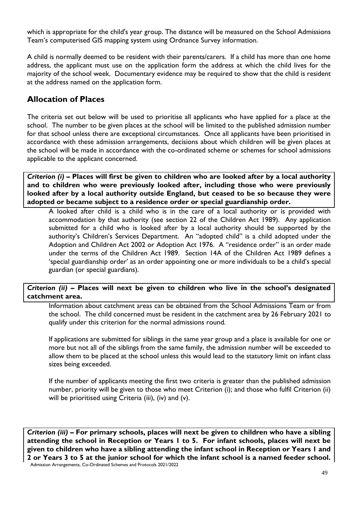which is appropriate for the child's year group. The distance will be measured on the School Admissions Team's computerised GIS mapping system using Ordnance Survey information.

A child is normally deemed to be resident with their parents/carers. If a child has more than one home address, the applicant must use on the application form the address at which the child lives for the majority of the school week. Documentary evidence may be required to show that the child is resident at the address named on the application form.

## **Allocation of Places**

The criteria set out below will be used to prioritise all applicants who have applied for a place at the school. The number to be given places at the school will be limited to the published admission number for that school unless there are exceptional circumstances. Once all applicants have been prioritised in accordance with these admission arrangements, decisions about which children will be given places at the school will be made in accordance with the co-ordinated scheme or schemes for school admissions applicable to the applicant concerned.

*Criterion (i) –* **Places will first be given to children who are looked after by a local authority and to children who were previously looked after, including those who were previously looked after by a local authority outside England, but ceased to be so because they were adopted or became subject to a residence order or special guardianship order.**

A looked after child is a child who is in the care of a local authority or is provided with accommodation by that authority (see section 22 of the Children Act 1989). Any application submitted for a child who is looked after by a local authority should be supported by the authority's Children's Services Department. An "adopted child" is a child adopted under the Adoption and Children Act 2002 or Adoption Act 1976. A "residence order" is an order made under the terms of the Children Act 1989. Section 14A of the Children Act 1989 defines a 'special guardianship order' as an order appointing one or more individuals to be a child's special guardian (or special guardians).

#### *Criterion (ii) –* **Places will next be given to children who live in the school's designated catchment area.**

Information about catchment areas can be obtained from the School Admissions Team or from the school. The child concerned must be resident in the catchment area by 26 February 2021 to qualify under this criterion for the normal admissions round.

If applications are submitted for siblings in the same year group and a place is available for one or more but not all of the siblings from the same family, the admission number will be exceeded to allow them to be placed at the school unless this would lead to the statutory limit on infant class sizes being exceeded.

If the number of applicants meeting the first two criteria is greater than the published admission number, priority will be given to those who meet Criterion (i); and those who fulfil Criterion (ii) will be prioritised using Criteria (iii), (iv) and (v).

Admission Arrangements, Co-Ordinated Schemes and Protocols 2021/2022 *Criterion (iii) –* **For primary schools, places will next be given to children who have a sibling attending the school in Reception or Years 1 to 5. For infant schools, places will next be given to children who have a sibling attending the infant school in Reception or Years 1 and 2 or Years 3 to 5 at the junior school for which the infant school is a named feeder school.**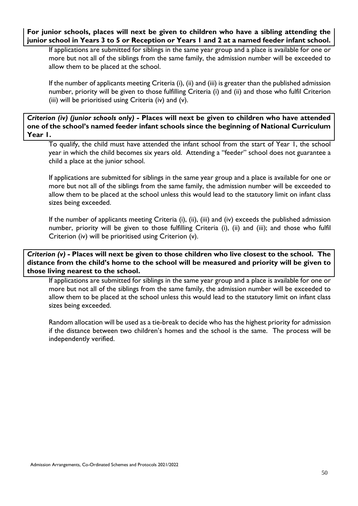#### **For junior schools, places will next be given to children who have a sibling attending the junior school in Years 3 to 5 or Reception or Years 1 and 2 at a named feeder infant school.**

If applications are submitted for siblings in the same year group and a place is available for one or more but not all of the siblings from the same family, the admission number will be exceeded to allow them to be placed at the school.

If the number of applicants meeting Criteria (i), (ii) and (iii) is greater than the published admission number, priority will be given to those fulfilling Criteria (i) and (ii) and those who fulfil Criterion (iii) will be prioritised using Criteria (iv) and (v).

#### *Criterion (iv) (junior schools only) -* **Places will next be given to children who have attended one of the school's named feeder infant schools since the beginning of National Curriculum Year 1.**

To qualify, the child must have attended the infant school from the start of Year 1, the school year in which the child becomes six years old. Attending a "feeder" school does not guarantee a child a place at the junior school.

If applications are submitted for siblings in the same year group and a place is available for one or more but not all of the siblings from the same family, the admission number will be exceeded to allow them to be placed at the school unless this would lead to the statutory limit on infant class sizes being exceeded.

If the number of applicants meeting Criteria (i), (ii), (iii) and (iv) exceeds the published admission number, priority will be given to those fulfilling Criteria (i), (ii) and (iii); and those who fulfil Criterion (iv) will be prioritised using Criterion (v).

*Criterion (v) -* **Places will next be given to those children who live closest to the school. The distance from the child's home to the school will be measured and priority will be given to those living nearest to the school.** 

If applications are submitted for siblings in the same year group and a place is available for one or more but not all of the siblings from the same family, the admission number will be exceeded to allow them to be placed at the school unless this would lead to the statutory limit on infant class sizes being exceeded.

Random allocation will be used as a tie-break to decide who has the highest priority for admission if the distance between two children's homes and the school is the same. The process will be independently verified.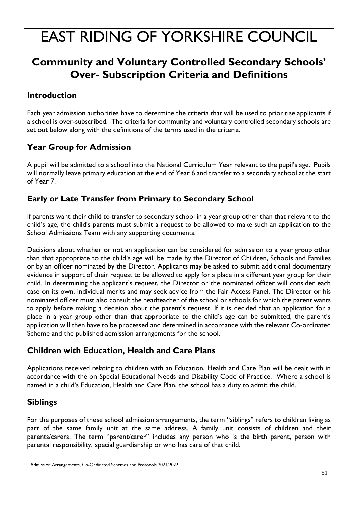# **Community and Voluntary Controlled Secondary Schools' Over- Subscription Criteria and Definitions**

# **Introduction**

Each year admission authorities have to determine the criteria that will be used to prioritise applicants if a school is over-subscribed. The criteria for community and voluntary controlled secondary schools are set out below along with the definitions of the terms used in the criteria.

# **Year Group for Admission**

A pupil will be admitted to a school into the National Curriculum Year relevant to the pupil's age. Pupils will normally leave primary education at the end of Year 6 and transfer to a secondary school at the start of Year 7.

# **Early or Late Transfer from Primary to Secondary School**

If parents want their child to transfer to secondary school in a year group other than that relevant to the child's age, the child's parents must submit a request to be allowed to make such an application to the School Admissions Team with any supporting documents.

Decisions about whether or not an application can be considered for admission to a year group other than that appropriate to the child's age will be made by the Director of Children, Schools and Families or by an officer nominated by the Director. Applicants may be asked to submit additional documentary evidence in support of their request to be allowed to apply for a place in a different year group for their child. In determining the applicant's request, the Director or the nominated officer will consider each case on its own, individual merits and may seek advice from the Fair Access Panel. The Director or his nominated officer must also consult the headteacher of the school or schools for which the parent wants to apply before making a decision about the parent's request. If it is decided that an application for a place in a year group other than that appropriate to the child's age can be submitted, the parent's application will then have to be processed and determined in accordance with the relevant Co-ordinated Scheme and the published admission arrangements for the school.

# **Children with Education, Health and Care Plans**

Applications received relating to children with an Education, Health and Care Plan will be dealt with in accordance with the on Special Educational Needs and Disability Code of Practice. Where a school is named in a child's Education, Health and Care Plan, the school has a duty to admit the child.

# **Siblings**

For the purposes of these school admission arrangements, the term "siblings" refers to children living as part of the same family unit at the same address. A family unit consists of children and their parents/carers. The term "parent/carer" includes any person who is the birth parent, person with parental responsibility, special guardianship or who has care of that child.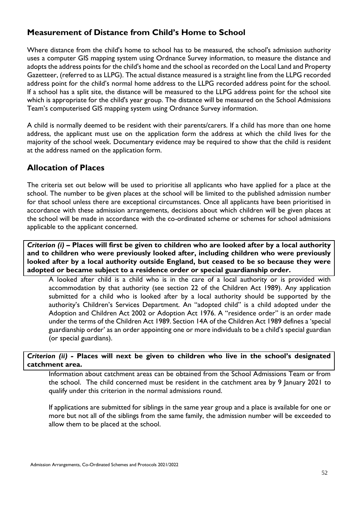## **Measurement of Distance from Child's Home to School**

Where distance from the child's home to school has to be measured, the school's admission authority uses a computer GIS mapping system using Ordnance Survey information, to measure the distance and adopts the address points for the child's home and the school as recorded on the Local Land and Property Gazetteer, (referred to as LLPG). The actual distance measured is a straight line from the LLPG recorded address point for the child's normal home address to the LLPG recorded address point for the school. If a school has a split site, the distance will be measured to the LLPG address point for the school site which is appropriate for the child's year group. The distance will be measured on the School Admissions Team's computerised GIS mapping system using Ordnance Survey information.

A child is normally deemed to be resident with their parents/carers. If a child has more than one home address, the applicant must use on the application form the address at which the child lives for the majority of the school week. Documentary evidence may be required to show that the child is resident at the address named on the application form.

# **Allocation of Places**

The criteria set out below will be used to prioritise all applicants who have applied for a place at the school. The number to be given places at the school will be limited to the published admission number for that school unless there are exceptional circumstances. Once all applicants have been prioritised in accordance with these admission arrangements, decisions about which children will be given places at the school will be made in accordance with the co-ordinated scheme or schemes for school admissions applicable to the applicant concerned.

*Criterion (i) –* **Places will first be given to children who are looked after by a local authority and to children who were previously looked after, including children who were previously looked after by a local authority outside England, but ceased to be so because they were adopted or became subject to a residence order or special guardianship order.**

A looked after child is a child who is in the care of a local authority or is provided with accommodation by that authority (see section 22 of the Children Act 1989). Any application submitted for a child who is looked after by a local authority should be supported by the authority's Children's Services Department. An "adopted child" is a child adopted under the Adoption and Children Act 2002 or Adoption Act 1976. A "residence order" is an order made under the terms of the Children Act 1989. Section 14A of the Children Act 1989 defines a 'special guardianship order' as an order appointing one or more individuals to be a child's special guardian (or special guardians).

#### *Criterion (ii) -* **Places will next be given to children who live in the school's designated catchment area.**

Information about catchment areas can be obtained from the School Admissions Team or from the school. The child concerned must be resident in the catchment area by 9 January 2021 to qualify under this criterion in the normal admissions round.

If applications are submitted for siblings in the same year group and a place is available for one or more but not all of the siblings from the same family, the admission number will be exceeded to allow them to be placed at the school.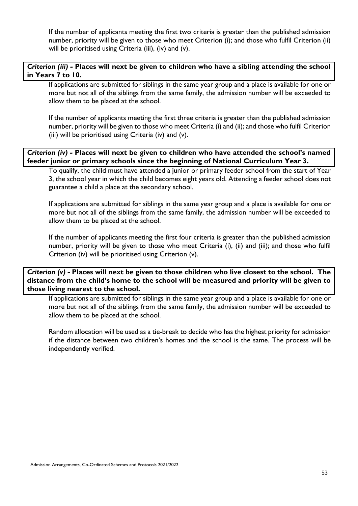If the number of applicants meeting the first two criteria is greater than the published admission number, priority will be given to those who meet Criterion (i); and those who fulfil Criterion (ii) will be prioritised using Criteria (iii), (iv) and (v).

#### *Criterion (iii) -* **Places will next be given to children who have a sibling attending the school in Years 7 to 10.**

If applications are submitted for siblings in the same year group and a place is available for one or more but not all of the siblings from the same family, the admission number will be exceeded to allow them to be placed at the school.

If the number of applicants meeting the first three criteria is greater than the published admission number, priority will be given to those who meet Criteria (i) and (ii); and those who fulfil Criterion (iii) will be prioritised using Criteria (iv) and (v).

*Criterion (iv) -* **Places will next be given to children who have attended the school's named feeder junior or primary schools since the beginning of National Curriculum Year 3.** 

To qualify, the child must have attended a junior or primary feeder school from the start of Year 3, the school year in which the child becomes eight years old. Attending a feeder school does not guarantee a child a place at the secondary school.

If applications are submitted for siblings in the same year group and a place is available for one or more but not all of the siblings from the same family, the admission number will be exceeded to allow them to be placed at the school.

If the number of applicants meeting the first four criteria is greater than the published admission number, priority will be given to those who meet Criteria (i), (ii) and (iii); and those who fulfil Criterion (iv) will be prioritised using Criterion (v).

*Criterion (v) -* **Places will next be given to those children who live closest to the school. The distance from the child's home to the school will be measured and priority will be given to those living nearest to the school.** 

If applications are submitted for siblings in the same year group and a place is available for one or more but not all of the siblings from the same family, the admission number will be exceeded to allow them to be placed at the school.

Random allocation will be used as a tie-break to decide who has the highest priority for admission if the distance between two children's homes and the school is the same. The process will be independently verified.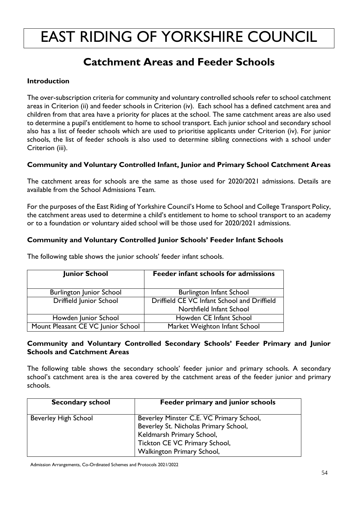# **Catchment Areas and Feeder Schools**

#### **Introduction**

The over-subscription criteria for community and voluntary controlled schools refer to school catchment areas in Criterion (ii) and feeder schools in Criterion (iv). Each school has a defined catchment area and children from that area have a priority for places at the school. The same catchment areas are also used to determine a pupil's entitlement to home to school transport. Each junior school and secondary school also has a list of feeder schools which are used to prioritise applicants under Criterion (iv). For junior schools, the list of feeder schools is also used to determine sibling connections with a school under Criterion (iii).

#### **Community and Voluntary Controlled Infant, Junior and Primary School Catchment Areas**

The catchment areas for schools are the same as those used for 2020/2021 admissions. Details are available from the School Admissions Team.

For the purposes of the East Riding of Yorkshire Council's Home to School and College Transport Policy, the catchment areas used to determine a child's entitlement to home to school transport to an academy or to a foundation or voluntary aided school will be those used for 2020/2021 admissions.

#### **Community and Voluntary Controlled Junior Schools' Feeder Infant Schools**

| <b>Junior School</b>               | Feeder infant schools for admissions        |
|------------------------------------|---------------------------------------------|
| <b>Burlington Junior School</b>    | <b>Burlington Infant School</b>             |
| Driffield Junior School            | Driffield CE VC Infant School and Driffield |
|                                    | Northfield Infant School                    |
| Howden Junior School               | Howden CE Infant School                     |
| Mount Pleasant CE VC Junior School | Market Weighton Infant School               |

The following table shows the junior schools' feeder infant schools.

#### **Community and Voluntary Controlled Secondary Schools' Feeder Primary and Junior Schools and Catchment Areas**

The following table shows the secondary schools' feeder junior and primary schools. A secondary school's catchment area is the area covered by the catchment areas of the feeder junior and primary schools.

| <b>Secondary school</b>     | Feeder primary and junior schools                                                                                                                                             |
|-----------------------------|-------------------------------------------------------------------------------------------------------------------------------------------------------------------------------|
| <b>Beverley High School</b> | Beverley Minster C.E. VC Primary School,<br>Beverley St. Nicholas Primary School,<br>Keldmarsh Primary School,<br>Tickton CE VC Primary School,<br>Walkington Primary School, |

Admission Arrangements, Co-Ordinated Schemes and Protocols 2021/2022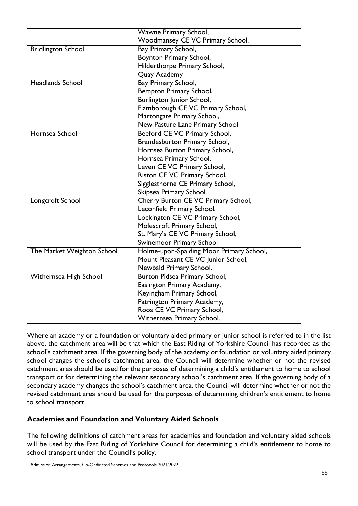|                            | Wawne Primary School,                    |
|----------------------------|------------------------------------------|
|                            | Woodmansey CE VC Primary School.         |
| <b>Bridlington School</b>  | Bay Primary School,                      |
|                            | Boynton Primary School,                  |
|                            | Hilderthorpe Primary School,             |
|                            | Quay Academy                             |
| <b>Headlands School</b>    | Bay Primary School,                      |
|                            | Bempton Primary School,                  |
|                            | Burlington Junior School,                |
|                            | Flamborough CE VC Primary School,        |
|                            | Martongate Primary School,               |
|                            | New Pasture Lane Primary School          |
| Hornsea School             | Beeford CE VC Primary School,            |
|                            | Brandesburton Primary School,            |
|                            | Hornsea Burton Primary School,           |
|                            | Hornsea Primary School,                  |
|                            | Leven CE VC Primary School,              |
|                            | Riston CE VC Primary School,             |
|                            | Sigglesthorne CE Primary School,         |
|                            | Skipsea Primary School.                  |
| Longcroft School           | Cherry Burton CE VC Primary School,      |
|                            | Leconfield Primary School,               |
|                            | Lockington CE VC Primary School,         |
|                            | Molescroft Primary School,               |
|                            | St. Mary's CE VC Primary School,         |
|                            | Swinemoor Primary School                 |
| The Market Weighton School | Holme-upon-Spalding Moor Primary School, |
|                            | Mount Pleasant CE VC Junior School,      |
|                            | Newbald Primary School.                  |
| Withernsea High School     | Burton Pidsea Primary School,            |
|                            | Easington Primary Academy,               |
|                            | Keyingham Primary School,                |
|                            | Patrington Primary Academy,              |
|                            | Roos CE VC Primary School,               |
|                            | Withernsea Primary School.               |

Where an academy or a foundation or voluntary aided primary or junior school is referred to in the list above, the catchment area will be that which the East Riding of Yorkshire Council has recorded as the school's catchment area. If the governing body of the academy or foundation or voluntary aided primary school changes the school's catchment area, the Council will determine whether or not the revised catchment area should be used for the purposes of determining a child's entitlement to home to school transport or for determining the relevant secondary school's catchment area. If the governing body of a secondary academy changes the school's catchment area, the Council will determine whether or not the revised catchment area should be used for the purposes of determining children's entitlement to home to school transport.

#### **Academies and Foundation and Voluntary Aided Schools**

The following definitions of catchment areas for academies and foundation and voluntary aided schools will be used by the East Riding of Yorkshire Council for determining a child's entitlement to home to school transport under the Council's policy.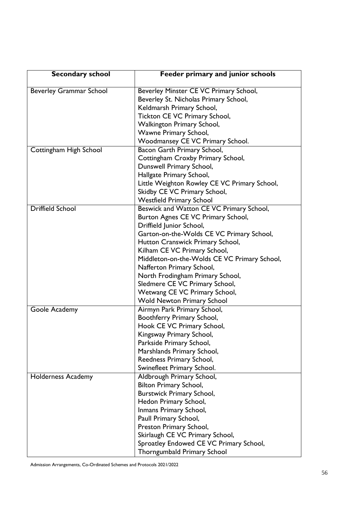| <b>Secondary school</b>        | Feeder primary and junior schools            |
|--------------------------------|----------------------------------------------|
| <b>Beverley Grammar School</b> | Beverley Minster CE VC Primary School,       |
|                                | Beverley St. Nicholas Primary School,        |
|                                | Keldmarsh Primary School,                    |
|                                | Tickton CE VC Primary School,                |
|                                | <b>Walkington Primary School,</b>            |
|                                | Wawne Primary School,                        |
|                                | Woodmansey CE VC Primary School.             |
| Cottingham High School         | Bacon Garth Primary School,                  |
|                                | Cottingham Croxby Primary School,            |
|                                | Dunswell Primary School,                     |
|                                | Hallgate Primary School,                     |
|                                | Little Weighton Rowley CE VC Primary School, |
|                                | Skidby CE VC Primary School,                 |
|                                | <b>Westfield Primary School</b>              |
| <b>Driffield School</b>        | Beswick and Watton CE VC Primary School,     |
|                                | Burton Agnes CE VC Primary School,           |
|                                | Driffield Junior School,                     |
|                                | Garton-on-the-Wolds CE VC Primary School,    |
|                                | Hutton Cranswick Primary School,             |
|                                | Kilham CE VC Primary School,                 |
|                                | Middleton-on-the-Wolds CE VC Primary School, |
|                                | Nafferton Primary School,                    |
|                                | North Frodingham Primary School,             |
|                                | Sledmere CE VC Primary School,               |
|                                | Wetwang CE VC Primary School,                |
|                                | <b>Wold Newton Primary School</b>            |
| Goole Academy                  | Airmyn Park Primary School,                  |
|                                | Boothferry Primary School,                   |
|                                | Hook CE VC Primary School,                   |
|                                | Kingsway Primary School,                     |
|                                | Parkside Primary School,                     |
|                                | Marshlands Primary School,                   |
|                                | Reedness Primary School,                     |
|                                | Swinefleet Primary School.                   |
| <b>Holderness Academy</b>      | Aldbrough Primary School,                    |
|                                | <b>Bilton Primary School,</b>                |
|                                | <b>Burstwick Primary School,</b>             |
|                                | Hedon Primary School,                        |
|                                | Inmans Primary School,                       |
|                                | Paull Primary School,                        |
|                                | Preston Primary School,                      |
|                                | Skirlaugh CE VC Primary School,              |
|                                | Sproatley Endowed CE VC Primary School,      |
|                                | <b>Thorngumbald Primary School</b>           |

Admission Arrangements, Co-Ordinated Schemes and Protocols 2021/2022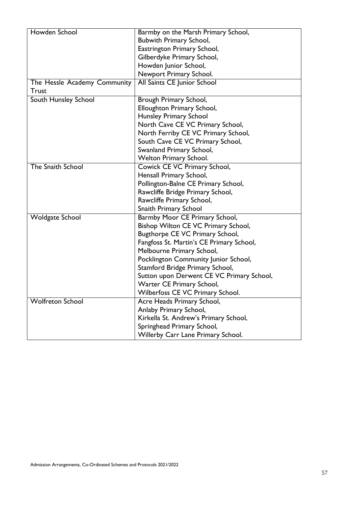| Howden School                | Barmby on the Marsh Primary School,       |  |
|------------------------------|-------------------------------------------|--|
|                              | <b>Bubwith Primary School,</b>            |  |
|                              | Eastrington Primary School,               |  |
|                              | Gilberdyke Primary School,                |  |
|                              | Howden Junior School,                     |  |
|                              | Newport Primary School.                   |  |
| The Hessle Academy Community | All Saints CE Junior School               |  |
| <b>Trust</b>                 |                                           |  |
| South Hunsley School         | Brough Primary School,                    |  |
|                              | Elloughton Primary School,                |  |
|                              | <b>Hunsley Primary School</b>             |  |
|                              | North Cave CE VC Primary School,          |  |
|                              | North Ferriby CE VC Primary School,       |  |
|                              | South Cave CE VC Primary School,          |  |
|                              | Swanland Primary School,                  |  |
|                              | <b>Welton Primary School.</b>             |  |
| The Snaith School            | Cowick CE VC Primary School,              |  |
|                              | Hensall Primary School,                   |  |
|                              | Pollington-Balne CE Primary School,       |  |
|                              | Rawcliffe Bridge Primary School,          |  |
|                              | Rawcliffe Primary School,                 |  |
|                              | <b>Snaith Primary School</b>              |  |
| <b>Woldgate School</b>       | Barmby Moor CE Primary School,            |  |
|                              | Bishop Wilton CE VC Primary School,       |  |
|                              | Bugthorpe CE VC Primary School,           |  |
|                              | Fangfoss St. Martin's CE Primary School,  |  |
|                              | Melbourne Primary School,                 |  |
|                              | Pocklington Community Junior School,      |  |
|                              | Stamford Bridge Primary School,           |  |
|                              | Sutton upon Derwent CE VC Primary School, |  |
|                              | Warter CE Primary School,                 |  |
|                              | Wilberfoss CE VC Primary School.          |  |
| <b>Wolfreton School</b>      | Acre Heads Primary School,                |  |
|                              | Anlaby Primary School,                    |  |
|                              | Kirkella St. Andrew's Primary School,     |  |
|                              | Springhead Primary School,                |  |
|                              | Willerby Carr Lane Primary School.        |  |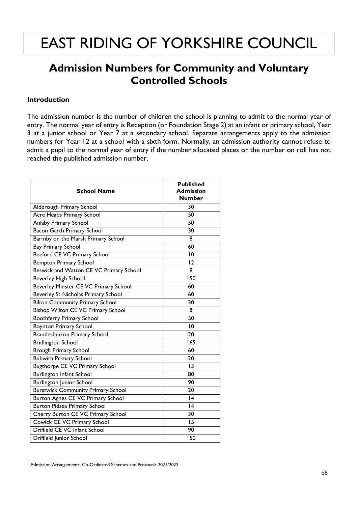# **Admission Numbers for Community and Voluntary Controlled Schools**

#### **Introduction**

The admission number is the number of children the school is planning to admit to the normal year of entry. The normal year of entry is Reception (or Foundation Stage 2) at an infant or primary school, Year 3 at a junior school or Year 7 at a secondary school. Separate arrangements apply to the admission numbers for Year 12 at a school with a sixth form. Normally, an admission authority cannot refuse to admit a pupil to the normal year of entry if the number allocated places or the number on roll has not reached the published admission number.

| <b>School Name</b>                        | <b>Published</b><br><b>Admission</b><br><b>Number</b> |
|-------------------------------------------|-------------------------------------------------------|
| Aldbrough Primary School                  | 30                                                    |
| Acre Heads Primary School                 | $\overline{50}$                                       |
| Anlaby Primary School                     | 50                                                    |
| Bacon Garth Primary School                | 30                                                    |
| Barmby on the Marsh Primary School        | 8                                                     |
| <b>Bay Primary School</b>                 | 60                                                    |
| Beeford CE VC Primary School              | $\overline{10}$                                       |
| <b>Bempton Primary School</b>             | 12                                                    |
| Beswick and Watton CE VC Primary School   | 8                                                     |
| Beverley High School                      | 150                                                   |
| Beverley Minster CE VC Primary School     | 60                                                    |
| Beverley St Nicholas Primary School       | 60                                                    |
| <b>Bilton Community Primary School</b>    | 30                                                    |
| Bishop Wilton CE VC Primary School        | 8                                                     |
| <b>Boothferry Primary School</b>          | 50                                                    |
| <b>Boynton Primary School</b>             | $\overline{10}$                                       |
| <b>Brandesburton Primary School</b>       | 20                                                    |
| <b>Bridlington School</b>                 | 165                                                   |
| Brough Primary School                     | 60                                                    |
| <b>Bubwith Primary School</b>             | 20                                                    |
| <b>Bugthorpe CE VC Primary School</b>     | 3                                                     |
| Burlington Infant School                  | 80                                                    |
| <b>Burlington Junior School</b>           | 90                                                    |
| <b>Burstwick Community Primary School</b> | 20                                                    |
| Burton Agnes CE VC Primary School         | 4                                                     |
| Burton Pidsea Primary School              | 4                                                     |
| Cherry Burton CE VC Primary School        | 30                                                    |
| Cowick CE VC Primary School               | 15                                                    |
| Driffield CE VC Infant School             | 90                                                    |
| Driffield Junior School                   | 150                                                   |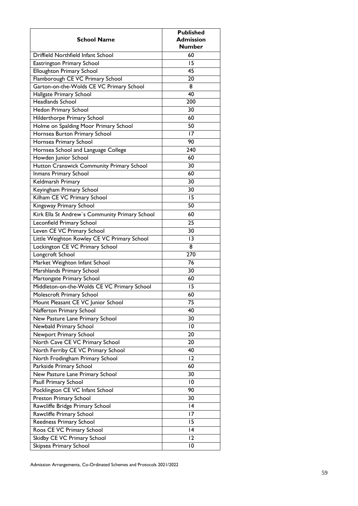| <b>School Name</b>                             | <b>Published</b><br><b>Admission</b><br><b>Number</b> |
|------------------------------------------------|-------------------------------------------------------|
| Driffield Northfield Infant School             | 60                                                    |
| Eastrington Primary School                     | 15                                                    |
| Elloughton Primary School                      | 45                                                    |
| Flamborough CE VC Primary School               | 20                                                    |
| Garton-on-the-Wolds CE VC Primary School       | 8                                                     |
| Hallgate Primary School                        | 40                                                    |
| Headlands School                               | 200                                                   |
| Hedon Primary School                           | 30                                                    |
| Hilderthorpe Primary School                    | 60                                                    |
| Holme on Spalding Moor Primary School          | 50                                                    |
| Hornsea Burton Primary School                  | 17                                                    |
| Hornsea Primary School                         | 90                                                    |
| Hornsea School and Language College            | 240                                                   |
| Howden Junior School                           | 60                                                    |
| Hutton Cranswick Community Primary School      | 30                                                    |
| Inmans Primary School                          | 60                                                    |
| Keldmarsh Primary                              | 30                                                    |
| Keyingham Primary School                       | 30                                                    |
| Kilham CE VC Primary School                    | 15                                                    |
| Kingsway Primary School                        | 50                                                    |
| Kirk Ella St Andrew's Community Primary School | 60                                                    |
| Leconfield Primary School                      | 25                                                    |
| Leven CE VC Primary School                     | 30                                                    |
| Little Weighton Rowley CE VC Primary School    | 13                                                    |
| Lockington CE VC Primary School                | 8                                                     |
| Longcroft School                               | 270                                                   |
| Market Weighton Infant School                  | 76                                                    |
| Marshlands Primary School                      | 30                                                    |
| Martongate Primary School                      | 60                                                    |
| Middleton-on-the-Wolds CE VC Primary School    | 15                                                    |
| Molescroft Primary School                      | 60                                                    |
| Mount Pleasant CE VC Junior School             | 75                                                    |
| Nafferton Primary School                       | 40                                                    |
| New Pasture Lane Primary School                | 30                                                    |
| Newbald Primary School                         | 10                                                    |
| Newport Primary School                         | 20                                                    |
| North Cave CE VC Primary School                | 20                                                    |
| North Ferriby CE VC Primary School             | 40                                                    |
| North Frodingham Primary School                | 12                                                    |
| Parkside Primary School                        | 60                                                    |
| New Pasture Lane Primary School                | 30                                                    |
| Paull Primary School                           | $\overline{10}$                                       |
| Pocklington CE VC Infant School                | 90                                                    |
| Preston Primary School                         | 30                                                    |
| Rawcliffe Bridge Primary School                | 4                                                     |
| Rawcliffe Primary School                       | 17                                                    |
| Reedness Primary School                        | 15                                                    |
| Roos CE VC Primary School                      | 4                                                     |
| Skidby CE VC Primary School                    | 12                                                    |
| Skipsea Primary School                         | 10                                                    |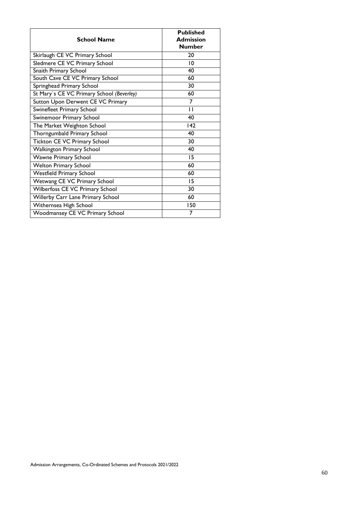| <b>School Name</b>                        | <b>Published</b><br><b>Admission</b><br><b>Number</b> |
|-------------------------------------------|-------------------------------------------------------|
| Skirlaugh CE VC Primary School            | 20                                                    |
| Sledmere CE VC Primary School             | 10                                                    |
| Snaith Primary School                     | 40                                                    |
| South Cave CE VC Primary School           | 60                                                    |
| Springhead Primary School                 | 30                                                    |
| St Mary's CE VC Primary School (Beverley) | 60                                                    |
| Sutton Upon Derwent CE VC Primary         | 7                                                     |
| Swinefleet Primary School                 | П                                                     |
| Swinemoor Primary School                  | 40                                                    |
| The Market Weighton School                | 142                                                   |
| Thorngumbald Primary School               | 40                                                    |
| Tickton CE VC Primary School              | 30                                                    |
| <b>Walkington Primary School</b>          | 40                                                    |
| <b>Wawne Primary School</b>               | 15                                                    |
| <b>Welton Primary School</b>              | 60                                                    |
| <b>Westfield Primary School</b>           | 60                                                    |
| Wetwang CE VC Primary School              | 15                                                    |
| Wilberfoss CE VC Primary School           | 30                                                    |
| Willerby Carr Lane Primary School         | 60                                                    |
| Withernsea High School                    | 150                                                   |
| Woodmansey CE VC Primary School           | 7                                                     |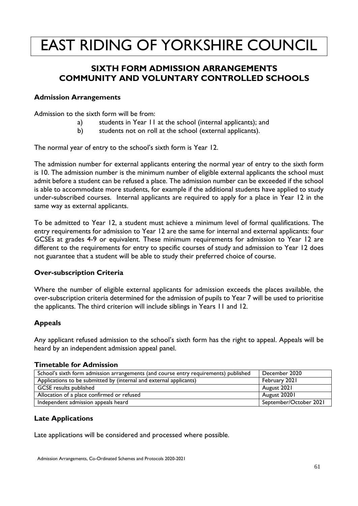# **SIXTH FORM ADMISSION ARRANGEMENTS COMMUNITY AND VOLUNTARY CONTROLLED SCHOOLS**

#### **Admission Arrangements**

Admission to the sixth form will be from:

- a) students in Year 11 at the school (internal applicants); and
- b) students not on roll at the school (external applicants).

The normal year of entry to the school's sixth form is Year 12.

The admission number for external applicants entering the normal year of entry to the sixth form is 10. The admission number is the minimum number of eligible external applicants the school must admit before a student can be refused a place. The admission number can be exceeded if the school is able to accommodate more students, for example if the additional students have applied to study under-subscribed courses. Internal applicants are required to apply for a place in Year 12 in the same way as external applicants.

To be admitted to Year 12, a student must achieve a minimum level of formal qualifications. The entry requirements for admission to Year 12 are the same for internal and external applicants: four GCSEs at grades 4-9 or equivalent. These minimum requirements for admission to Year 12 are different to the requirements for entry to specific courses of study and admission to Year 12 does not guarantee that a student will be able to study their preferred choice of course.

#### **Over-subscription Criteria**

Where the number of eligible external applicants for admission exceeds the places available, the over-subscription criteria determined for the admission of pupils to Year 7 will be used to prioritise the applicants. The third criterion will include siblings in Years 11 and 12.

#### **Appeals**

Any applicant refused admission to the school's sixth form has the right to appeal. Appeals will be heard by an independent admission appeal panel.

#### **Timetable for Admission**

| School's sixth form admission arrangements (and course entry requirements) published | December 2020          |
|--------------------------------------------------------------------------------------|------------------------|
| Applications to be submitted by (internal and external applicants)                   | February 2021          |
| <b>GCSE</b> results published                                                        | August 2021            |
| Allocation of a place confirmed or refused                                           | August 20201           |
| Independent admission appeals heard                                                  | September/October 2021 |

#### **Late Applications**

Late applications will be considered and processed where possible.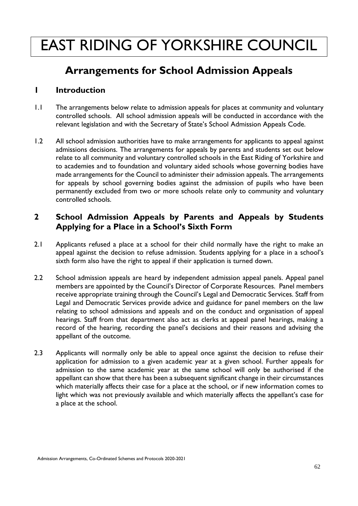# **Arrangements for School Admission Appeals**

### **1 Introduction**

- 1.1 The arrangements below relate to admission appeals for places at community and voluntary controlled schools. All school admission appeals will be conducted in accordance with the relevant legislation and with the Secretary of State's School Admission Appeals Code.
- 1.2 All school admission authorities have to make arrangements for applicants to appeal against admissions decisions. The arrangements for appeals by parents and students set out below relate to all community and voluntary controlled schools in the East Riding of Yorkshire and to academies and to foundation and voluntary aided schools whose governing bodies have made arrangements for the Council to administer their admission appeals. The arrangements for appeals by school governing bodies against the admission of pupils who have been permanently excluded from two or more schools relate only to community and voluntary controlled schools.

### **2 School Admission Appeals by Parents and Appeals by Students Applying for a Place in a School's Sixth Form**

- 2.1 Applicants refused a place at a school for their child normally have the right to make an appeal against the decision to refuse admission. Students applying for a place in a school's sixth form also have the right to appeal if their application is turned down.
- 2.2 School admission appeals are heard by independent admission appeal panels. Appeal panel members are appointed by the Council's Director of Corporate Resources. Panel members receive appropriate training through the Council's Legal and Democratic Services. Staff from Legal and Democratic Services provide advice and guidance for panel members on the law relating to school admissions and appeals and on the conduct and organisation of appeal hearings. Staff from that department also act as clerks at appeal panel hearings, making a record of the hearing, recording the panel's decisions and their reasons and advising the appellant of the outcome.
- 2.3 Applicants will normally only be able to appeal once against the decision to refuse their application for admission to a given academic year at a given school. Further appeals for admission to the same academic year at the same school will only be authorised if the appellant can show that there has been a subsequent significant change in their circumstances which materially affects their case for a place at the school, or if new information comes to light which was not previously available and which materially affects the appellant's case for a place at the school.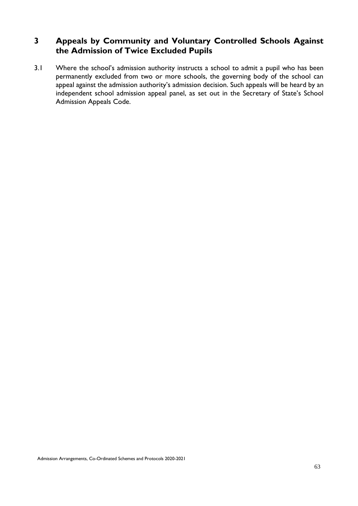# **3 Appeals by Community and Voluntary Controlled Schools Against the Admission of Twice Excluded Pupils**

3.1 Where the school's admission authority instructs a school to admit a pupil who has been permanently excluded from two or more schools, the governing body of the school can appeal against the admission authority's admission decision. Such appeals will be heard by an independent school admission appeal panel, as set out in the Secretary of State's School Admission Appeals Code.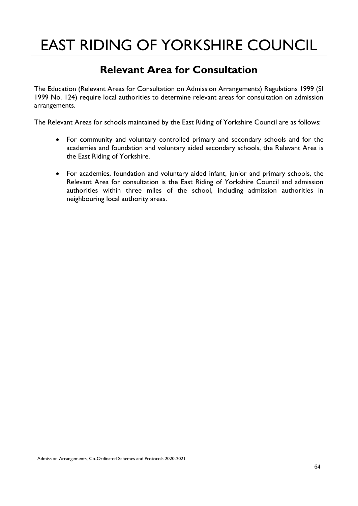# **Relevant Area for Consultation**

The Education (Relevant Areas for Consultation on Admission Arrangements) Regulations 1999 (SI 1999 No. 124) require local authorities to determine relevant areas for consultation on admission arrangements.

The Relevant Areas for schools maintained by the East Riding of Yorkshire Council are as follows:

- For community and voluntary controlled primary and secondary schools and for the academies and foundation and voluntary aided secondary schools, the Relevant Area is the East Riding of Yorkshire.
- For academies, foundation and voluntary aided infant, junior and primary schools, the Relevant Area for consultation is the East Riding of Yorkshire Council and admission authorities within three miles of the school, including admission authorities in neighbouring local authority areas.